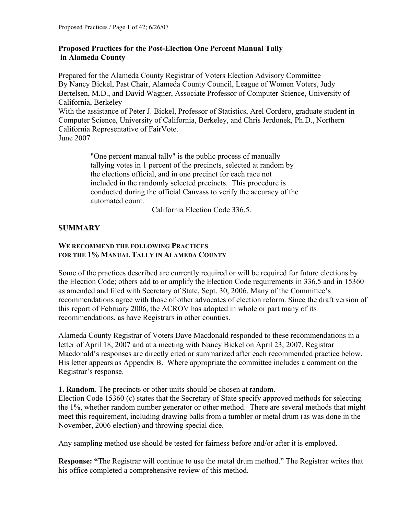## **Proposed Practices for the Post-Election One Percent Manual Tally in Alameda County**

Prepared for the Alameda County Registrar of Voters Election Advisory Committee By Nancy Bickel, Past Chair, Alameda County Council, League of Women Voters, Judy Bertelsen, M.D., and David Wagner, Associate Professor of Computer Science, University of California, Berkeley With the assistance of Peter J. Bickel, Professor of Statistics, Arel Cordero, graduate student in Computer Science, University of California, Berkeley, and Chris Jerdonek, Ph.D., Northern California Representative of FairVote.

June 2007

"One percent manual tally" is the public process of manually tallying votes in 1 percent of the precincts, selected at random by the elections official, and in one precinct for each race not included in the randomly selected precincts. This procedure is conducted during the official Canvass to verify the accuracy of the automated count.

California Election Code 336.5.

# **SUMMARY**

#### **WE RECOMMEND THE FOLLOWING PRACTICES FOR THE 1% MANUAL TALLY IN ALAMEDA COUNTY**

Some of the practices described are currently required or will be required for future elections by the Election Code; others add to or amplify the Election Code requirements in 336.5 and in 15360 as amended and filed with Secretary of State, Sept. 30, 2006. Many of the Committee's recommendations agree with those of other advocates of election reform. Since the draft version of this report of February 2006, the ACROV has adopted in whole or part many of its recommendations, as have Registrars in other counties.

Alameda County Registrar of Voters Dave Macdonald responded to these recommendations in a letter of April 18, 2007 and at a meeting with Nancy Bickel on April 23, 2007. Registrar Macdonald's responses are directly cited or summarized after each recommended practice below. His letter appears as Appendix B. Where appropriate the committee includes a comment on the Registrar's response.

## **1. Random**. The precincts or other units should be chosen at random.

Election Code 15360 (c) states that the Secretary of State specify approved methods for selecting the 1%, whether random number generator or other method. There are several methods that might meet this requirement, including drawing balls from a tumbler or metal drum (as was done in the November, 2006 election) and throwing special dice.

Any sampling method use should be tested for fairness before and/or after it is employed.

**Response: "**The Registrar will continue to use the metal drum method." The Registrar writes that his office completed a comprehensive review of this method.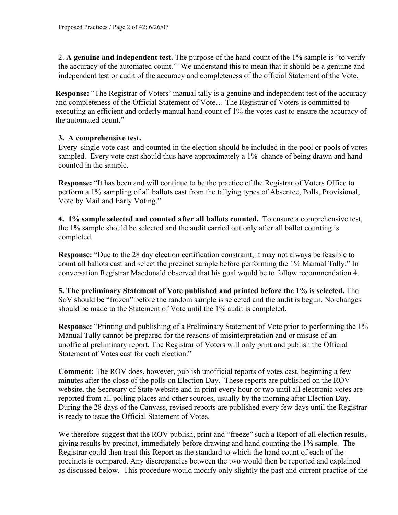2. **A genuine and independent test.** The purpose of the hand count of the 1% sample is "to verify the accuracy of the automated count." We understand this to mean that it should be a genuine and independent test or audit of the accuracy and completeness of the official Statement of the Vote.

**Response:** "The Registrar of Voters' manual tally is a genuine and independent test of the accuracy and completeness of the Official Statement of Vote… The Registrar of Voters is committed to executing an efficient and orderly manual hand count of 1% the votes cast to ensure the accuracy of the automated count."

## **3. A comprehensive test.**

Every single vote cast and counted in the election should be included in the pool or pools of votes sampled. Every vote cast should thus have approximately a 1% chance of being drawn and hand counted in the sample.

**Response:** "It has been and will continue to be the practice of the Registrar of Voters Office to perform a 1% sampling of all ballots cast from the tallying types of Absentee, Polls, Provisional, Vote by Mail and Early Voting."

**4. 1% sample selected and counted after all ballots counted.** To ensure a comprehensive test, the 1% sample should be selected and the audit carried out only after all ballot counting is completed.

**Response:** "Due to the 28 day election certification constraint, it may not always be feasible to count all ballots cast and select the precinct sample before performing the 1% Manual Tally." In conversation Registrar Macdonald observed that his goal would be to follow recommendation 4.

**5. The preliminary Statement of Vote published and printed before the 1% is selected.** The SoV should be "frozen" before the random sample is selected and the audit is begun. No changes should be made to the Statement of Vote until the 1% audit is completed.

**Response:** "Printing and publishing of a Preliminary Statement of Vote prior to performing the 1% Manual Tally cannot be prepared for the reasons of misinterpretation and or misuse of an unofficial preliminary report. The Registrar of Voters will only print and publish the Official Statement of Votes cast for each election."

**Comment:** The ROV does, however, publish unofficial reports of votes cast, beginning a few minutes after the close of the polls on Election Day. These reports are published on the ROV website, the Secretary of State website and in print every hour or two until all electronic votes are reported from all polling places and other sources, usually by the morning after Election Day. During the 28 days of the Canvass, revised reports are published every few days until the Registrar is ready to issue the Official Statement of Votes.

We therefore suggest that the ROV publish, print and "freeze" such a Report of all election results, giving results by precinct, immediately before drawing and hand counting the 1% sample. The Registrar could then treat this Report as the standard to which the hand count of each of the precincts is compared. Any discrepancies between the two would then be reported and explained as discussed below. This procedure would modify only slightly the past and current practice of the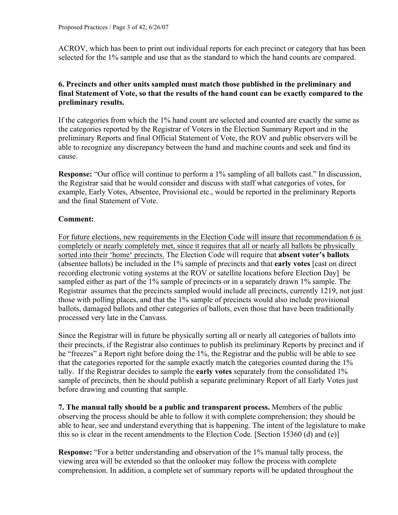ACROV, which has been to print out individual reports for each precinct or category that has been selected for the 1% sample and use that as the standard to which the hand counts are compared.

## **6. Precincts and other units sampled must match those published in the preliminary and final Statement of Vote, so that the results of the hand count can be exactly compared to the preliminary results.**

If the categories from which the 1% hand count are selected and counted are exactly the same as the categories reported by the Registrar of Voters in the Election Summary Report and in the preliminary Reports and final Official Statement of Vote, the ROV and public observers will be able to recognize any discrepancy between the hand and machine counts and seek and find its cause.

**Response:** "Our office will continue to perform a 1% sampling of all ballots cast." In discussion, the Registrar said that he would consider and discuss with staff what categories of votes, for example, Early Votes, Absentee, Provisional etc., would be reported in the preliminary Reports and the final Statement of Vote.

## **Comment:**

For future elections, new requirements in the Election Code will insure that recommendation 6 is completely or nearly completely met, since it requires that all or nearly all ballots be physically sorted into their 'home' precincts. The Election Code will require that **absent voter's ballots** (absentee ballots) be included in the 1% sample of precincts and that **early votes** [cast on direct recording electronic voting systems at the ROV or satellite locations before Election Day] be sampled either as part of the 1% sample of precincts or in a separately drawn 1% sample. The Registrar assumes that the precincts sampled would include all precincts, currently 1219, not just those with polling places, and that the 1% sample of precincts would also include provisional ballots, damaged ballots and other categories of ballots, even those that have been traditionally processed very late in the Canvass.

Since the Registrar will in future be physically sorting all or nearly all categories of ballots into their precincts, if the Registrar also continues to publish its preliminary Reports by precinct and if he "freezes" a Report right before doing the 1%, the Registrar and the public will be able to see that the categories reported for the sample exactly match the categories counted during the 1% tally. If the Registrar decides to sample the **early votes** separately from the consolidated 1% sample of precincts, then he should publish a separate preliminary Report of all Early Votes just before drawing and counting that sample.

**7. The manual tally should be a public and transparent process.** Members of the public observing the process should be able to follow it with complete comprehension; they should be able to hear, see and understand everything that is happening. The intent of the legislature to make this so is clear in the recent amendments to the Election Code. [Section 15360 (d) and (e)]

**Response:** "For a better understanding and observation of the 1% manual tally process, the viewing area will be extended so that the onlooker may follow the process with complete comprehension. In addition, a complete set of summary reports will be updated throughout the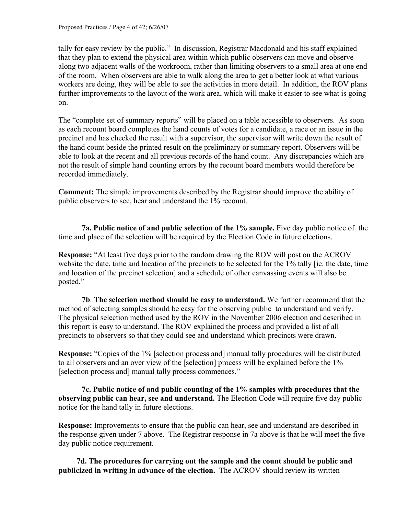tally for easy review by the public." In discussion, Registrar Macdonald and his staff explained that they plan to extend the physical area within which public observers can move and observe along two adjacent walls of the workroom, rather than limiting observers to a small area at one end of the room. When observers are able to walk along the area to get a better look at what various workers are doing, they will be able to see the activities in more detail. In addition, the ROV plans further improvements to the layout of the work area, which will make it easier to see what is going on.

The "complete set of summary reports" will be placed on a table accessible to observers. As soon as each recount board completes the hand counts of votes for a candidate, a race or an issue in the precinct and has checked the result with a supervisor, the supervisor will write down the result of the hand count beside the printed result on the preliminary or summary report. Observers will be able to look at the recent and all previous records of the hand count. Any discrepancies which are not the result of simple hand counting errors by the recount board members would therefore be recorded immediately.

**Comment:** The simple improvements described by the Registrar should improve the ability of public observers to see, hear and understand the 1% recount.

**7a. Public notice of and public selection of the 1% sample.** Five day public notice of the time and place of the selection will be required by the Election Code in future elections.

**Response:** "At least five days prior to the random drawing the ROV will post on the ACROV website the date, time and location of the precincts to be selected for the 1% tally [ie. the date, time and location of the precinct selection] and a schedule of other canvassing events will also be posted."

**7b**. **The selection method should be easy to understand.** We further recommend that the method of selecting samples should be easy for the observing public to understand and verify. The physical selection method used by the ROV in the November 2006 election and described in this report is easy to understand. The ROV explained the process and provided a list of all precincts to observers so that they could see and understand which precincts were drawn.

**Response:** "Copies of the 1% [selection process and] manual tally procedures will be distributed to all observers and an over view of the [selection] process will be explained before the 1% [selection process and] manual tally process commences."

**7c. Public notice of and public counting of the 1% samples with procedures that the observing public can hear, see and understand.** The Election Code will require five day public notice for the hand tally in future elections.

**Response:** Improvements to ensure that the public can hear, see and understand are described in the response given under 7 above. The Registrar response in 7a above is that he will meet the five day public notice requirement.

**7d. The procedures for carrying out the sample and the count should be public and publicized in writing in advance of the election.** The ACROV should review its written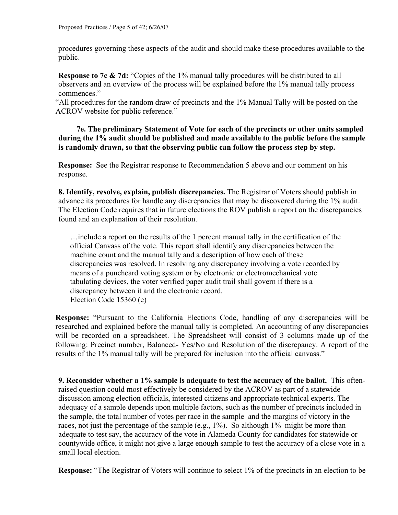procedures governing these aspects of the audit and should make these procedures available to the public.

**Response to 7c & 7d:** "Copies of the 1% manual tally procedures will be distributed to all observers and an overview of the process will be explained before the 1% manual tally process commences."

"All procedures for the random draw of precincts and the 1% Manual Tally will be posted on the ACROV website for public reference."

**7e. The preliminary Statement of Vote for each of the precincts or other units sampled during the 1% audit should be published and made available to the public before the sample is randomly drawn, so that the observing public can follow the process step by step.**

**Response:** See the Registrar response to Recommendation 5 above and our comment on his response.

**8. Identify, resolve, explain, publish discrepancies.** The Registrar of Voters should publish in advance its procedures for handle any discrepancies that may be discovered during the 1% audit. The Election Code requires that in future elections the ROV publish a report on the discrepancies found and an explanation of their resolution.

…include a report on the results of the 1 percent manual tally in the certification of the official Canvass of the vote. This report shall identify any discrepancies between the machine count and the manual tally and a description of how each of these discrepancies was resolved. In resolving any discrepancy involving a vote recorded by means of a punchcard voting system or by electronic or electromechanical vote tabulating devices, the voter verified paper audit trail shall govern if there is a discrepancy between it and the electronic record. Election Code 15360 (e)

**Response:** "Pursuant to the California Elections Code, handling of any discrepancies will be researched and explained before the manual tally is completed. An accounting of any discrepancies will be recorded on a spreadsheet. The Spreadsheet will consist of 3 columns made up of the following: Precinct number, Balanced- Yes/No and Resolution of the discrepancy. A report of the results of the 1% manual tally will be prepared for inclusion into the official canvass."

**9. Reconsider whether a 1% sample is adequate to test the accuracy of the ballot.** This oftenraised question could most effectively be considered by the ACROV as part of a statewide discussion among election officials, interested citizens and appropriate technical experts. The adequacy of a sample depends upon multiple factors, such as the number of precincts included in the sample, the total number of votes per race in the sample and the margins of victory in the races, not just the percentage of the sample (e.g., 1%). So although 1% might be more than adequate to test say, the accuracy of the vote in Alameda County for candidates for statewide or countywide office, it might not give a large enough sample to test the accuracy of a close vote in a small local election.

**Response:** "The Registrar of Voters will continue to select 1% of the precincts in an election to be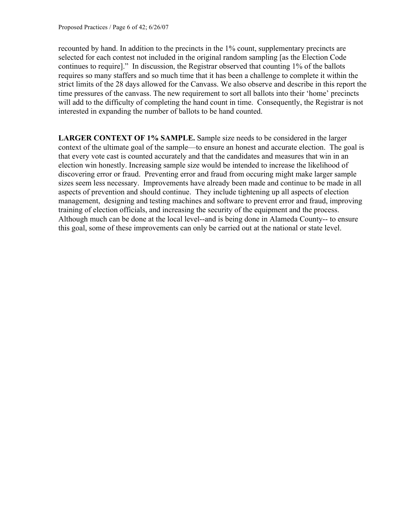recounted by hand. In addition to the precincts in the 1% count, supplementary precincts are selected for each contest not included in the original random sampling [as the Election Code continues to require]." In discussion, the Registrar observed that counting 1% of the ballots requires so many staffers and so much time that it has been a challenge to complete it within the strict limits of the 28 days allowed for the Canvass. We also observe and describe in this report the time pressures of the canvass. The new requirement to sort all ballots into their 'home' precincts will add to the difficulty of completing the hand count in time. Consequently, the Registrar is not interested in expanding the number of ballots to be hand counted.

**LARGER CONTEXT OF 1% SAMPLE.** Sample size needs to be considered in the larger context of the ultimate goal of the sample—to ensure an honest and accurate election. The goal is that every vote cast is counted accurately and that the candidates and measures that win in an election win honestly. Increasing sample size would be intended to increase the likelihood of discovering error or fraud. Preventing error and fraud from occuring might make larger sample sizes seem less necessary. Improvements have already been made and continue to be made in all aspects of prevention and should continue. They include tightening up all aspects of election management, designing and testing machines and software to prevent error and fraud, improving training of election officials, and increasing the security of the equipment and the process. Although much can be done at the local level--and is being done in Alameda County-- to ensure this goal, some of these improvements can only be carried out at the national or state level.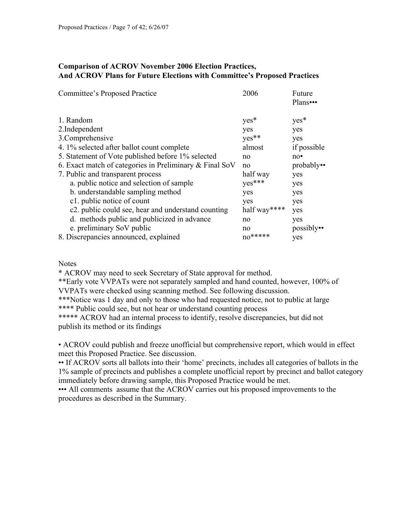## **Comparison of ACROV November 2006 Election Practices, And ACROV Plans for Future Elections with Committee's Proposed Practices**

| 2006         | Future<br>Plans ••• |
|--------------|---------------------|
| yes*         | yes*                |
| yes          | yes                 |
| yes**        | yes                 |
| almost       | if possible         |
| no           | no                  |
| no           | probably••          |
| half way     | yes                 |
| yes***       | yes                 |
| yes          | yes                 |
| yes          | yes                 |
| half way**** | yes                 |
| no           | yes                 |
| no           | possibly••          |
|              | yes                 |
|              | $no*****$           |

Notes

\* ACROV may need to seek Secretary of State approval for method.

\*\*Early vote VVPATs were not separately sampled and hand counted, however, 100% of VVPATs were checked using scanning method. See following discussion.

\*\*\*Notice was 1 day and only to those who had requested notice, not to public at large \*\*\*\* Public could see, but not hear or understand counting process

\*\*\*\*\* ACROV had an internal process to identify, resolve discrepancies, but did not publish its method or its findings

• ACROV could publish and freeze unofficial but comprehensive report, which would in effect meet this Proposed Practice. See discussion.

•• If ACROV sorts all ballots into their 'home' precincts, includes all categories of ballots in the 1% sample of precincts and publishes a complete unofficial report by precinct and ballot category immediately before drawing sample, this Proposed Practice would be met.

••• All comments assume that the ACROV carries out his proposed improvements to the procedures as described in the Summary.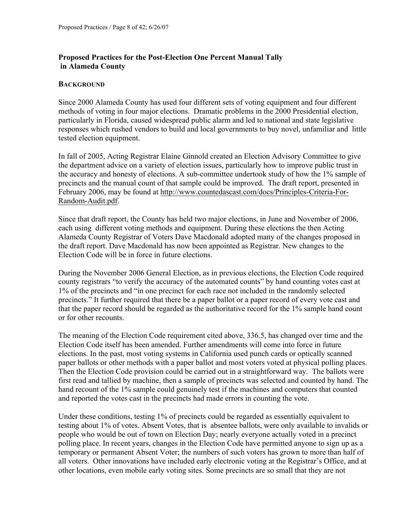## **Proposed Practices for the Post-Election One Percent Manual Tally in Alameda County**

#### **BACKGROUND**

Since 2000 Alameda County has used four different sets of voting equipment and four different methods of voting in four major elections. Dramatic problems in the 2000 Presidential election, particularly in Florida, caused widespread public alarm and led to national and state legislative responses which rushed vendors to build and local governments to buy novel, unfamiliar and little tested election equipment.

In fall of 2005, Acting Registrar Elaine Ginnold created an Election Advisory Committee to give the department advice on a variety of election issues, particularly how to improve public trust in the accuracy and honesty of elections. A sub-committee undertook study of how the 1% sample of precincts and the manual count of that sample could be improved. The draft report, presented in February 2006, may be found at http://www.countedascast.com/docs/Principles-Criteria-For-Random-Audit.pdf.

Since that draft report, the County has held two major elections, in June and November of 2006, each using different voting methods and equipment. During these elections the then Acting Alameda County Registrar of Voters Dave Macdonald adopted many of the changes proposed in the draft report. Dave Macdonald has now been appointed as Registrar. New changes to the Election Code will be in force in future elections.

During the November 2006 General Election, as in previous elections, the Election Code required county registrars "to verify the accuracy of the automated counts" by hand counting votes cast at 1% of the precincts and "in one precinct for each race not included in the randomly selected precincts." It further required that there be a paper ballot or a paper record of every vote cast and that the paper record should be regarded as the authoritative record for the 1% sample hand count or for other recounts.

The meaning of the Election Code requirement cited above, 336.5, has changed over time and the Election Code itself has been amended. Further amendments will come into force in future elections. In the past, most voting systems in California used punch cards or optically scanned paper ballots or other methods with a paper ballot and most voters voted at physical polling places. Then the Election Code provision could be carried out in a straightforward way. The ballots were first read and tallied by machine, then a sample of precincts was selected and counted by hand. The hand recount of the 1% sample could genuinely test if the machines and computers that counted and reported the votes cast in the precincts had made errors in counting the vote.

Under these conditions, testing 1% of precincts could be regarded as essentially equivalent to testing about 1% of votes. Absent Votes, that is absentee ballots, were only available to invalids or people who would be out of town on Election Day; nearly everyone actually voted in a precinct polling place. In recent years, changes in the Election Code have permitted anyone to sign up as a temporary or permanent Absent Voter; the numbers of such voters has grown to more than half of all voters. Other innovations have included early electronic voting at the Registrar's Office, and at other locations, even mobile early voting sites. Some precincts are so small that they are not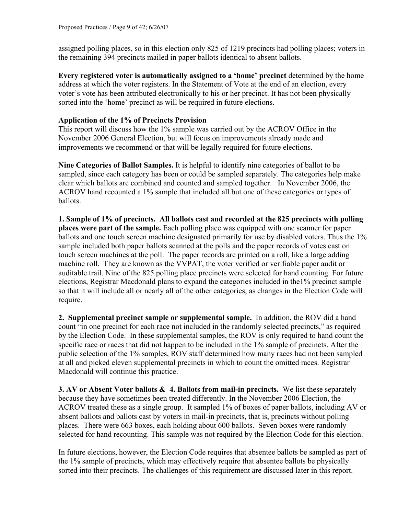assigned polling places, so in this election only 825 of 1219 precincts had polling places; voters in the remaining 394 precincts mailed in paper ballots identical to absent ballots.

**Every registered voter is automatically assigned to a 'home' precinct** determined by the home address at which the voter registers. In the Statement of Vote at the end of an election, every voter's vote has been attributed electronically to his or her precinct. It has not been physically sorted into the 'home' precinct as will be required in future elections.

## **Application of the 1% of Precincts Provision**

This report will discuss how the 1% sample was carried out by the ACROV Office in the November 2006 General Election, but will focus on improvements already made and improvements we recommend or that will be legally required for future elections.

**Nine Categories of Ballot Samples.** It is helpful to identify nine categories of ballot to be sampled, since each category has been or could be sampled separately. The categories help make clear which ballots are combined and counted and sampled together. In November 2006, the ACROV hand recounted a 1% sample that included all but one of these categories or types of ballots.

**1. Sample of 1% of precincts. All ballots cast and recorded at the 825 precincts with polling places were part of the sample.** Each polling place was equipped with one scanner for paper ballots and one touch screen machine designated primarily for use by disabled voters. Thus the 1% sample included both paper ballots scanned at the polls and the paper records of votes cast on touch screen machines at the poll. The paper records are printed on a roll, like a large adding machine roll. They are known as the VVPAT, the voter verified or verifiable paper audit or auditable trail. Nine of the 825 polling place precincts were selected for hand counting. For future elections, Registrar Macdonald plans to expand the categories included in the1% precinct sample so that it will include all or nearly all of the other categories, as changes in the Election Code will require.

**2. Supplemental precinct sample or supplemental sample.** In addition, the ROV did a hand count "in one precinct for each race not included in the randomly selected precincts," as required by the Election Code. In these supplemental samples, the ROV is only required to hand count the specific race or races that did not happen to be included in the 1% sample of precincts. After the public selection of the 1% samples, ROV staff determined how many races had not been sampled at all and picked eleven supplemental precincts in which to count the omitted races. Registrar Macdonald will continue this practice.

**3. AV or Absent Voter ballots & 4. Ballots from mail-in precincts.** We list these separately because they have sometimes been treated differently. In the November 2006 Election, the ACROV treated these as a single group. It sampled 1% of boxes of paper ballots, including AV or absent ballots and ballots cast by voters in mail-in precincts, that is, precincts without polling places. There were 663 boxes, each holding about 600 ballots. Seven boxes were randomly selected for hand recounting. This sample was not required by the Election Code for this election.

In future elections, however, the Election Code requires that absentee ballots be sampled as part of the 1% sample of precincts, which may effectively require that absentee ballots be physically sorted into their precincts. The challenges of this requirement are discussed later in this report.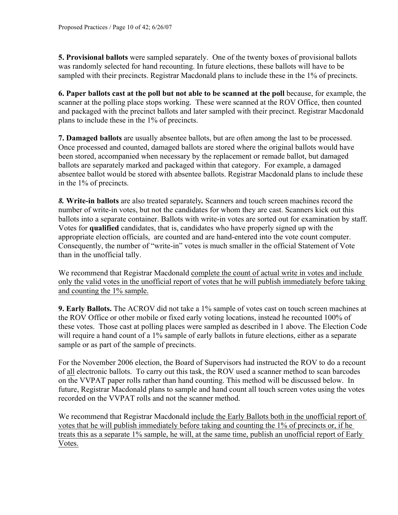**5. Provisional ballots** were sampled separately. One of the twenty boxes of provisional ballots was randomly selected for hand recounting. In future elections, these ballots will have to be sampled with their precincts. Registrar Macdonald plans to include these in the 1% of precincts.

**6. Paper ballots cast at the poll but not able to be scanned at the poll** because, for example, the scanner at the polling place stops working. These were scanned at the ROV Office, then counted and packaged with the precinct ballots and later sampled with their precinct. Registrar Macdonald plans to include these in the 1% of precincts.

**7. Damaged ballots** are usually absentee ballots, but are often among the last to be processed. Once processed and counted, damaged ballots are stored where the original ballots would have been stored, accompanied when necessary by the replacement or remade ballot, but damaged ballots are separately marked and packaged within that category. For example, a damaged absentee ballot would be stored with absentee ballots. Registrar Macdonald plans to include these in the 1% of precincts.

*8.* **Write-in ballots** are also treated separately*.* Scanners and touch screen machines record the number of write-in votes, but not the candidates for whom they are cast. Scanners kick out this ballots into a separate container. Ballots with write-in votes are sorted out for examination by staff. Votes for **qualified** candidates, that is, candidates who have properly signed up with the appropriate election officials, are counted and are hand-entered into the vote count computer. Consequently, the number of "write-in" votes is much smaller in the official Statement of Vote than in the unofficial tally.

We recommend that Registrar Macdonald complete the count of actual write in votes and include only the valid votes in the unofficial report of votes that he will publish immediately before taking and counting the 1% sample.

**9. Early Ballots.** The ACROV did not take a 1% sample of votes cast on touch screen machines at the ROV Office or other mobile or fixed early voting locations, instead he recounted 100% of these votes. Those cast at polling places were sampled as described in 1 above. The Election Code will require a hand count of a 1% sample of early ballots in future elections, either as a separate sample or as part of the sample of precincts.

For the November 2006 election, the Board of Supervisors had instructed the ROV to do a recount of all electronic ballots. To carry out this task, the ROV used a scanner method to scan barcodes on the VVPAT paper rolls rather than hand counting. This method will be discussed below. In future, Registrar Macdonald plans to sample and hand count all touch screen votes using the votes recorded on the VVPAT rolls and not the scanner method.

We recommend that Registrar Macdonald include the Early Ballots both in the unofficial report of votes that he will publish immediately before taking and counting the 1% of precincts or, if he treats this as a separate 1% sample, he will, at the same time, publish an unofficial report of Early Votes.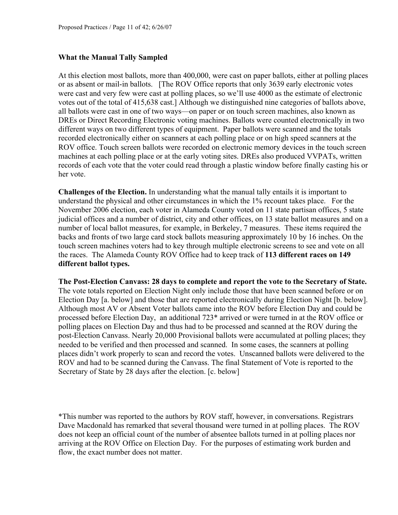#### **What the Manual Tally Sampled**

At this election most ballots, more than 400,000, were cast on paper ballots, either at polling places or as absent or mail-in ballots. [The ROV Office reports that only 3639 early electronic votes were cast and very few were cast at polling places, so we'll use 4000 as the estimate of electronic votes out of the total of 415,638 cast.] Although we distinguished nine categories of ballots above, all ballots were cast in one of two ways—on paper or on touch screen machines, also known as DREs or Direct Recording Electronic voting machines. Ballots were counted electronically in two different ways on two different types of equipment. Paper ballots were scanned and the totals recorded electronically either on scanners at each polling place or on high speed scanners at the ROV office. Touch screen ballots were recorded on electronic memory devices in the touch screen machines at each polling place or at the early voting sites. DREs also produced VVPATs, written records of each vote that the voter could read through a plastic window before finally casting his or her vote.

**Challenges of the Election.** In understanding what the manual tally entails it is important to understand the physical and other circumstances in which the 1% recount takes place. For the November 2006 election, each voter in Alameda County voted on 11 state partisan offices, 5 state judicial offices and a number of district, city and other offices, on 13 state ballot measures and on a number of local ballot measures, for example, in Berkeley, 7 measures. These items required the backs and fronts of two large card stock ballots measuring approximately 10 by 16 inches. On the touch screen machines voters had to key through multiple electronic screens to see and vote on all the races. The Alameda County ROV Office had to keep track of **113 different races on 149 different ballot types.** 

**The Post-Election Canvass: 28 days to complete and report the vote to the Secretary of State.**  The vote totals reported on Election Night only include those that have been scanned before or on Election Day [a. below] and those that are reported electronically during Election Night [b. below]. Although most AV or Absent Voter ballots came into the ROV before Election Day and could be processed before Election Day, an additional 723\* arrived or were turned in at the ROV office or polling places on Election Day and thus had to be processed and scanned at the ROV during the post-Election Canvass. Nearly 20,000 Provisional ballots were accumulated at polling places; they needed to be verified and then processed and scanned. In some cases, the scanners at polling places didn't work properly to scan and record the votes. Unscanned ballots were delivered to the ROV and had to be scanned during the Canvass. The final Statement of Vote is reported to the Secretary of State by 28 days after the election. [c. below]

\*This number was reported to the authors by ROV staff, however, in conversations. Registrars Dave Macdonald has remarked that several thousand were turned in at polling places. The ROV does not keep an official count of the number of absentee ballots turned in at polling places nor arriving at the ROV Office on Election Day. For the purposes of estimating work burden and flow, the exact number does not matter.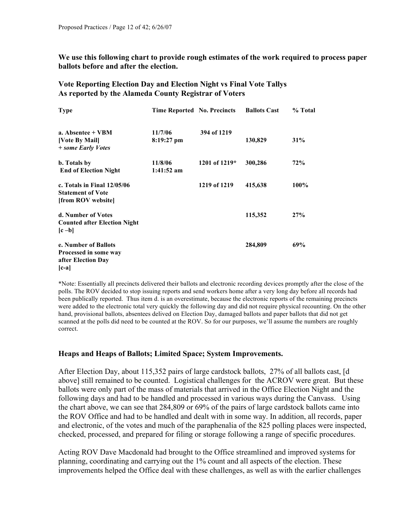**We use this following chart to provide rough estimates of the work required to process paper ballots before and after the election.** 

**Vote Reporting Election Day and Election Night vs Final Vote Tallys As reported by the Alameda County Registrar of Voters**

| <b>Type</b>                                                                     |                         | <b>Time Reported No. Precincts</b> | <b>Ballots Cast</b> | % Total |
|---------------------------------------------------------------------------------|-------------------------|------------------------------------|---------------------|---------|
| a. Absentee + VBM<br>[Vote By Mail]<br>+ some Early Votes                       | 11/7/06<br>8:19:27 pm   | 394 of 1219                        | 130,829             | 31%     |
| b. Totals by<br><b>End of Election Night</b>                                    | 11/8/06<br>$1:41:52$ am | 1201 of 1219 $*$                   | 300,286             | 72%     |
| c. Totals in Final $12/05/06$<br><b>Statement of Vote</b><br>[from ROV website] |                         | 1219 of 1219                       | 415,638             | 100%    |
| d. Number of Votes<br><b>Counted after Election Night</b><br>$ c - b $          |                         |                                    | 115,352             | 27%     |
| e. Number of Ballots<br>Processed in some way<br>after Election Day<br>$ c-a $  |                         |                                    | 284,809             | 69%     |

\*Note: Essentially all precincts delivered their ballots and electronic recording devices promptly after the close of the polls. The ROV decided to stop issuing reports and send workers home after a very long day before all records had been publically reported. Thus item d. is an overestimate, because the electronic reports of the remaining precincts were added to the electronic total very quickly the following day and did not require physical recounting. On the other hand, provisional ballots, absentees delived on Election Day, damaged ballots and paper ballots that did not get scanned at the polls did need to be counted at the ROV. So for our purposes, we'll assume the numbers are roughly correct.

## **Heaps and Heaps of Ballots; Limited Space; System Improvements.**

After Election Day, about 115,352 pairs of large cardstock ballots, 27% of all ballots cast, [d above] still remained to be counted. Logistical challenges for the ACROV were great. But these ballots were only part of the mass of materials that arrived in the Office Election Night and the following days and had to be handled and processed in various ways during the Canvass. Using the chart above, we can see that 284,809 or 69% of the pairs of large cardstock ballots came into the ROV Office and had to be handled and dealt with in some way. In addition, all records, paper and electronic, of the votes and much of the paraphenalia of the 825 polling places were inspected, checked, processed, and prepared for filing or storage following a range of specific procedures.

Acting ROV Dave Macdonald had brought to the Office streamlined and improved systems for planning, coordinating and carrying out the 1% count and all aspects of the election. These improvements helped the Office deal with these challenges, as well as with the earlier challenges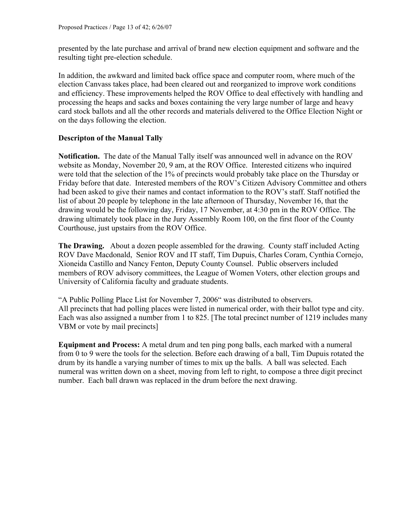presented by the late purchase and arrival of brand new election equipment and software and the resulting tight pre-election schedule.

In addition, the awkward and limited back office space and computer room, where much of the election Canvass takes place, had been cleared out and reorganized to improve work conditions and efficiency. These improvements helped the ROV Office to deal effectively with handling and processing the heaps and sacks and boxes containing the very large number of large and heavy card stock ballots and all the other records and materials delivered to the Office Election Night or on the days following the election.

## **Descripton of the Manual Tally**

**Notification.** The date of the Manual Tally itself was announced well in advance on the ROV website as Monday, November 20, 9 am, at the ROV Office. Interested citizens who inquired were told that the selection of the 1% of precincts would probably take place on the Thursday or Friday before that date. Interested members of the ROV's Citizen Advisory Committee and others had been asked to give their names and contact information to the ROV's staff. Staff notified the list of about 20 people by telephone in the late afternoon of Thursday, November 16, that the drawing would be the following day, Friday, 17 November, at 4:30 pm in the ROV Office. The drawing ultimately took place in the Jury Assembly Room 100, on the first floor of the County Courthouse, just upstairs from the ROV Office.

**The Drawing.** About a dozen people assembled for the drawing. County staff included Acting ROV Dave Macdonald, Senior ROV and IT staff, Tim Dupuis, Charles Coram, Cynthia Cornejo, Xioneida Castillo and Nancy Fenton, Deputy County Counsel. Public observers included members of ROV advisory committees, the League of Women Voters, other election groups and University of California faculty and graduate students.

"A Public Polling Place List for November 7, 2006" was distributed to observers. All precincts that had polling places were listed in numerical order, with their ballot type and city. Each was also assigned a number from 1 to 825. [The total precinct number of 1219 includes many VBM or vote by mail precincts]

**Equipment and Process:** A metal drum and ten ping pong balls, each marked with a numeral from 0 to 9 were the tools for the selection. Before each drawing of a ball, Tim Dupuis rotated the drum by its handle a varying number of times to mix up the balls. A ball was selected. Each numeral was written down on a sheet, moving from left to right, to compose a three digit precinct number. Each ball drawn was replaced in the drum before the next drawing.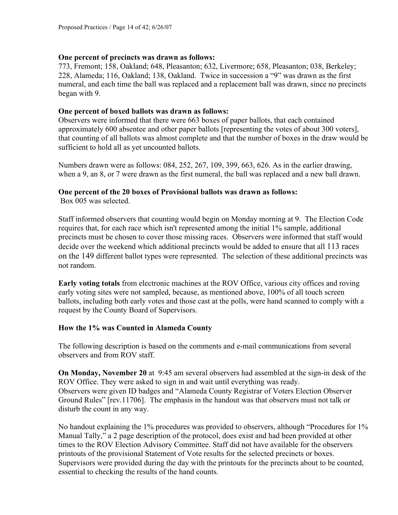#### **One percent of precincts was drawn as follows:**

773, Fremont; 158, Oakland; 648, Pleasanton; 632, Livermore; 658, Pleasanton; 038, Berkeley; 228, Alameda; 116, Oakland; 138, Oakland. Twice in succession a "9" was drawn as the first numeral, and each time the ball was replaced and a replacement ball was drawn, since no precincts began with 9.

### **One percent of boxed ballots was drawn as follows:**

Observers were informed that there were 663 boxes of paper ballots, that each contained approximately 600 absentee and other paper ballots [representing the votes of about 300 voters], that counting of all ballots was almost complete and that the number of boxes in the draw would be sufficient to hold all as yet uncounted ballots.

Numbers drawn were as follows: 084, 252, 267, 109, 399, 663, 626. As in the earlier drawing, when a 9, an 8, or 7 were drawn as the first numeral, the ball was replaced and a new ball drawn.

## **One percent of the 20 boxes of Provisional ballots was drawn as follows:**

Box 005 was selected.

Staff informed observers that counting would begin on Monday morning at 9. The Election Code requires that, for each race which isn't represented among the initial 1% sample, additional precincts must be chosen to cover those missing races. Observers were informed that staff would decide over the weekend which additional precincts would be added to ensure that all 113 races on the 149 different ballot types were represented. The selection of these additional precincts was not random.

**Early voting totals** from electronic machines at the ROV Office, various city offices and roving early voting sites were not sampled, because, as mentioned above, 100% of all touch screen ballots, including both early votes and those cast at the polls, were hand scanned to comply with a request by the County Board of Supervisors.

## **How the 1% was Counted in Alameda County**

The following description is based on the comments and e-mail communications from several observers and from ROV staff.

**On Monday, November 20** at 9:45 am several observers had assembled at the sign-in desk of the ROV Office. They were asked to sign in and wait until everything was ready. Observers were given ID badges and "Alameda County Registrar of Voters Election Observer Ground Rules" [rev.11706]. The emphasis in the handout was that observers must not talk or disturb the count in any way.

No handout explaining the 1% procedures was provided to observers, although "Procedures for 1% Manual Tally," a 2 page description of the protocol, does exist and had been provided at other times to the ROV Election Advisory Committee. Staff did not have available for the observers printouts of the provisional Statement of Vote results for the selected precincts or boxes. Supervisors were provided during the day with the printouts for the precincts about to be counted, essential to checking the results of the hand counts.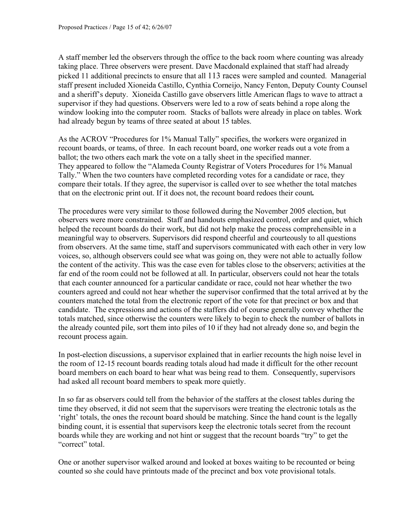A staff member led the observers through the office to the back room where counting was already taking place. Three observers were present. Dave Macdonald explained that staff had already picked 11 additional precincts to ensure that all 113 races were sampled and counted. Managerial staff present included Xioneida Castillo, Cynthia Corneijo, Nancy Fenton, Deputy County Counsel and a sheriff's deputy. Xioneida Castillo gave observers little American flags to wave to attract a supervisor if they had questions. Observers were led to a row of seats behind a rope along the window looking into the computer room. Stacks of ballots were already in place on tables. Work had already begun by teams of three seated at about 15 tables.

As the ACROV "Procedures for 1% Manual Tally" specifies, the workers were organized in recount boards, or teams, of three. In each recount board, one worker reads out a vote from a ballot; the two others each mark the vote on a tally sheet in the specified manner. They appeared to follow the "Alameda County Registrar of Voters Procedures for 1% Manual Tally." When the two counters have completed recording votes for a candidate or race, they compare their totals. If they agree, the supervisor is called over to see whether the total matches that on the electronic print out. If it does not, the recount board redoes their count*.*

The procedures were very similar to those followed during the November 2005 election, but observers were more constrained. Staff and handouts emphasized control, order and quiet, which helped the recount boards do their work, but did not help make the process comprehensible in a meaningful way to observers. Supervisors did respond cheerful and courteously to all questions from observers. At the same time, staff and supervisors communicated with each other in very low voices, so, although observers could see what was going on, they were not able to actually follow the content of the activity. This was the case even for tables close to the observers; activities at the far end of the room could not be followed at all. In particular, observers could not hear the totals that each counter announced for a particular candidate or race, could not hear whether the two counters agreed and could not hear whether the supervisor confirmed that the total arrived at by the counters matched the total from the electronic report of the vote for that precinct or box and that candidate. The expressions and actions of the staffers did of course generally convey whether the totals matched, since otherwise the counters were likely to begin to check the number of ballots in the already counted pile, sort them into piles of 10 if they had not already done so, and begin the recount process again.

In post-election discussions, a supervisor explained that in earlier recounts the high noise level in the room of 12-15 recount boards reading totals aloud had made it difficult for the other recount board members on each board to hear what was being read to them. Consequently, supervisors had asked all recount board members to speak more quietly.

In so far as observers could tell from the behavior of the staffers at the closest tables during the time they observed, it did not seem that the supervisors were treating the electronic totals as the 'right' totals, the ones the recount board should be matching. Since the hand count is the legally binding count, it is essential that supervisors keep the electronic totals secret from the recount boards while they are working and not hint or suggest that the recount boards "try" to get the "correct" total.

One or another supervisor walked around and looked at boxes waiting to be recounted or being counted so she could have printouts made of the precinct and box vote provisional totals.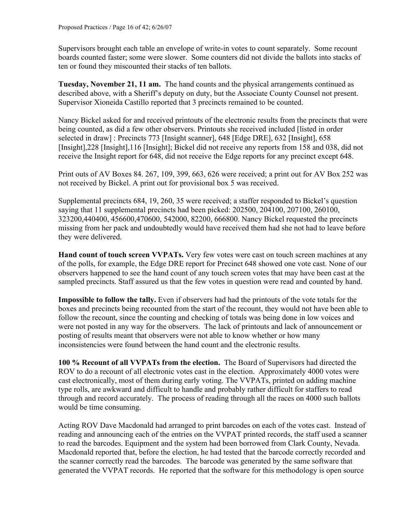Supervisors brought each table an envelope of write-in votes to count separately. Some recount boards counted faster; some were slower. Some counters did not divide the ballots into stacks of ten or found they miscounted their stacks of ten ballots.

**Tuesday, November 21, 11 am.** The hand counts and the physical arrangements continued as described above, with a Sheriff's deputy on duty, but the Associate County Counsel not present. Supervisor Xioneida Castillo reported that 3 precincts remained to be counted.

Nancy Bickel asked for and received printouts of the electronic results from the precincts that were being counted, as did a few other observers. Printouts she received included [listed in order selected in draw] : Precincts 773 [Insight scanner], 648 [Edge DRE], 632 [Insight], 658 [Insight],228 [Insight],116 [Insight]; Bickel did not receive any reports from 158 and 038, did not receive the Insight report for 648, did not receive the Edge reports for any precinct except 648.

Print outs of AV Boxes 84. 267, 109, 399, 663, 626 were received; a print out for AV Box 252 was not received by Bickel. A print out for provisional box 5 was received.

Supplemental precincts 684, 19, 260, 35 were received; a staffer responded to Bickel's question saying that 11 supplemental precincts had been picked: 202500, 204100, 207100, 260100, 323200,440400, 456600,470600, 542000, 82200, 666800. Nancy Bickel requested the precincts missing from her pack and undoubtedly would have received them had she not had to leave before they were delivered.

**Hand count of touch screen VVPATs.** Very few votes were cast on touch screen machines at any of the polls, for example, the Edge DRE report for Precinct 648 showed one vote cast. None of our observers happened to see the hand count of any touch screen votes that may have been cast at the sampled precincts. Staff assured us that the few votes in question were read and counted by hand.

**Impossible to follow the tally.** Even if observers had had the printouts of the vote totals for the boxes and precincts being recounted from the start of the recount, they would not have been able to follow the recount, since the counting and checking of totals was being done in low voices and were not posted in any way for the observers. The lack of printouts and lack of announcement or posting of results meant that observers were not able to know whether or how many inconsistencies were found between the hand count and the electronic results.

**100 % Recount of all VVPATs from the election.** The Board of Supervisors had directed the ROV to do a recount of all electronic votes cast in the election. Approximately 4000 votes were cast electronically, most of them during early voting. The VVPATs, printed on adding machine type rolls, are awkward and difficult to handle and probably rather difficult for staffers to read through and record accurately. The process of reading through all the races on 4000 such ballots would be time consuming.

Acting ROV Dave Macdonald had arranged to print barcodes on each of the votes cast. Instead of reading and announcing each of the entries on the VVPAT printed records, the staff used a scanner to read the barcodes. Equipment and the system had been borrowed from Clark County, Nevada. Macdonald reported that, before the election, he had tested that the barcode correctly recorded and the scanner correctly read the barcodes. The barcode was generated by the same software that generated the VVPAT records. He reported that the software for this methodology is open source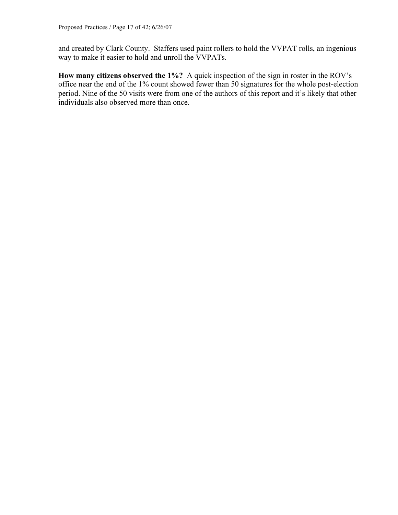and created by Clark County. Staffers used paint rollers to hold the VVPAT rolls, an ingenious way to make it easier to hold and unroll the VVPATs.

**How many citizens observed the 1%?** A quick inspection of the sign in roster in the ROV's office near the end of the 1% count showed fewer than 50 signatures for the whole post-election period. Nine of the 50 visits were from one of the authors of this report and it's likely that other individuals also observed more than once.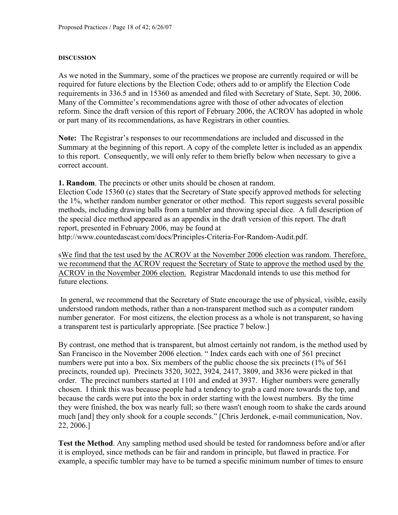#### **DISCUSSION**

As we noted in the Summary, some of the practices we propose are currently required or will be required for future elections by the Election Code; others add to or amplify the Election Code requirements in 336.5 and in 15360 as amended and filed with Secretary of State, Sept. 30, 2006. Many of the Committee's recommendations agree with those of other advocates of election reform. Since the draft version of this report of February 2006, the ACROV has adopted in whole or part many of its recommendations, as have Registrars in other counties.

**Note:** The Registrar's responses to our recommendations are included and discussed in the Summary at the beginning of this report. A copy of the complete letter is included as an appendix to this report. Consequently, we will only refer to them briefly below when necessary to give a correct account.

**1. Random**. The precincts or other units should be chosen at random.

Election Code 15360 (c) states that the Secretary of State specify approved methods for selecting the 1%, whether random number generator or other method. This report suggests several possible methods, including drawing balls from a tumbler and throwing special dice. A full description of the special dice method appeared as an appendix in the draft version of this report. The draft report, presented in February 2006, may be found at

http://www.countedascast.com/docs/Principles-Criteria-For-Random-Audit.pdf.

sWe find that the test used by the ACROV at the November 2006 election was random. Therefore, we recommend that the ACROV request the Secretary of State to approve the method used by the ACROV in the November 2006 election. Registrar Macdonald intends to use this method for future elections.

In general, we recommend that the Secretary of State encourage the use of physical, visible, easily understood random methods, rather than a non-transparent method such as a computer random number generator. For most citizens, the election process as a whole is not transparent, so having a transparent test is particularly appropriate. [See practice 7 below.]

By contrast, one method that is transparent, but almost certainly not random, is the method used by San Francisco in the November 2006 election. " Index cards each with one of 561 precinct numbers were put into a box. Six members of the public choose the six precincts (1% of 561) precincts, rounded up). Precincts 3520, 3022, 3924, 2417, 3809, and 3836 were picked in that order. The precinct numbers started at 1101 and ended at 3937. Higher numbers were generally chosen. I think this was because people had a tendency to grab a card more towards the top, and because the cards were put into the box in order starting with the lowest numbers. By the time they were finished, the box was nearly full; so there wasn't enough room to shake the cards around much [and] they only shook for a couple seconds." [Chris Jerdonek, e-mail communication, Nov. 22, 2006.]

**Test the Method**. Any sampling method used should be tested for randomness before and/or after it is employed, since methods can be fair and random in principle, but flawed in practice. For example, a specific tumbler may have to be turned a specific minimum number of times to ensure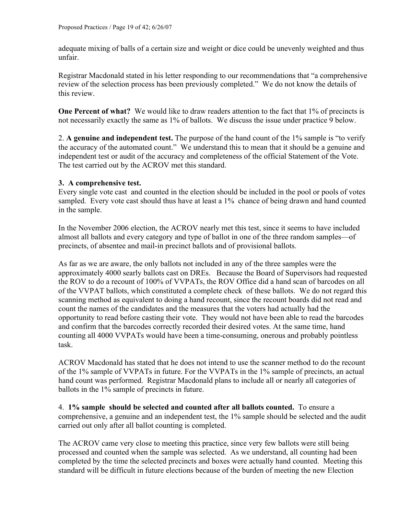adequate mixing of balls of a certain size and weight or dice could be unevenly weighted and thus unfair.

Registrar Macdonald stated in his letter responding to our recommendations that "a comprehensive review of the selection process has been previously completed." We do not know the details of this review.

**One Percent of what?** We would like to draw readers attention to the fact that 1% of precincts is not necessarily exactly the same as 1% of ballots. We discuss the issue under practice 9 below.

2. **A genuine and independent test.** The purpose of the hand count of the 1% sample is "to verify the accuracy of the automated count." We understand this to mean that it should be a genuine and independent test or audit of the accuracy and completeness of the official Statement of the Vote. The test carried out by the ACROV met this standard.

## **3. A comprehensive test.**

Every single vote cast and counted in the election should be included in the pool or pools of votes sampled. Every vote cast should thus have at least a 1% chance of being drawn and hand counted in the sample.

In the November 2006 election, the ACROV nearly met this test, since it seems to have included almost all ballots and every category and type of ballot in one of the three random samples—of precincts, of absentee and mail-in precinct ballots and of provisional ballots.

As far as we are aware, the only ballots not included in any of the three samples were the approximately 4000 searly ballots cast on DREs. Because the Board of Supervisors had requested the ROV to do a recount of 100% of VVPATs, the ROV Office did a hand scan of barcodes on all of the VVPAT ballots, which constituted a complete check of these ballots. We do not regard this scanning method as equivalent to doing a hand recount, since the recount boards did not read and count the names of the candidates and the measures that the voters had actually had the opportunity to read before casting their vote. They would not have been able to read the barcodes and confirm that the barcodes correctly recorded their desired votes. At the same time, hand counting all 4000 VVPATs would have been a time-consuming, onerous and probably pointless task.

ACROV Macdonald has stated that he does not intend to use the scanner method to do the recount of the 1% sample of VVPATs in future. For the VVPATs in the 1% sample of precincts, an actual hand count was performed. Registrar Macdonald plans to include all or nearly all categories of ballots in the 1% sample of precincts in future.

4. **1% sample should be selected and counted after all ballots counted.** To ensure a comprehensive, a genuine and an independent test, the 1% sample should be selected and the audit carried out only after all ballot counting is completed.

The ACROV came very close to meeting this practice, since very few ballots were still being processed and counted when the sample was selected. As we understand, all counting had been completed by the time the selected precincts and boxes were actually hand counted. Meeting this standard will be difficult in future elections because of the burden of meeting the new Election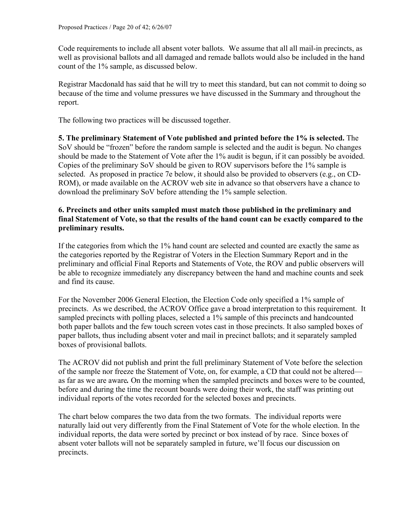Code requirements to include all absent voter ballots. We assume that all all mail-in precincts, as well as provisional ballots and all damaged and remade ballots would also be included in the hand count of the 1% sample, as discussed below.

Registrar Macdonald has said that he will try to meet this standard, but can not commit to doing so because of the time and volume pressures we have discussed in the Summary and throughout the report.

The following two practices will be discussed together.

**5. The preliminary Statement of Vote published and printed before the 1% is selected.** The SoV should be "frozen" before the random sample is selected and the audit is begun. No changes should be made to the Statement of Vote after the 1% audit is begun, if it can possibly be avoided. Copies of the preliminary SoV should be given to ROV supervisors before the 1% sample is selected. As proposed in practice 7e below, it should also be provided to observers (e.g., on CD-ROM), or made available on the ACROV web site in advance so that observers have a chance to download the preliminary SoV before attending the 1% sample selection.

### **6. Precincts and other units sampled must match those published in the preliminary and final Statement of Vote, so that the results of the hand count can be exactly compared to the preliminary results.**

If the categories from which the 1% hand count are selected and counted are exactly the same as the categories reported by the Registrar of Voters in the Election Summary Report and in the preliminary and official Final Reports and Statements of Vote, the ROV and public observers will be able to recognize immediately any discrepancy between the hand and machine counts and seek and find its cause.

For the November 2006 General Election, the Election Code only specified a 1% sample of precincts. As we described, the ACROV Office gave a broad interpretation to this requirement. It sampled precincts with polling places, selected a 1% sample of this precincts and handcounted both paper ballots and the few touch screen votes cast in those precincts. It also sampled boxes of paper ballots, thus including absent voter and mail in precinct ballots; and it separately sampled boxes of provisional ballots.

The ACROV did not publish and print the full preliminary Statement of Vote before the selection of the sample nor freeze the Statement of Vote, on, for example, a CD that could not be altered as far as we are aware*.* On the morning when the sampled precincts and boxes were to be counted, before and during the time the recount boards were doing their work, the staff was printing out individual reports of the votes recorded for the selected boxes and precincts.

The chart below compares the two data from the two formats. The individual reports were naturally laid out very differently from the Final Statement of Vote for the whole election. In the individual reports, the data were sorted by precinct or box instead of by race. Since boxes of absent voter ballots will not be separately sampled in future, we'll focus our discussion on precincts.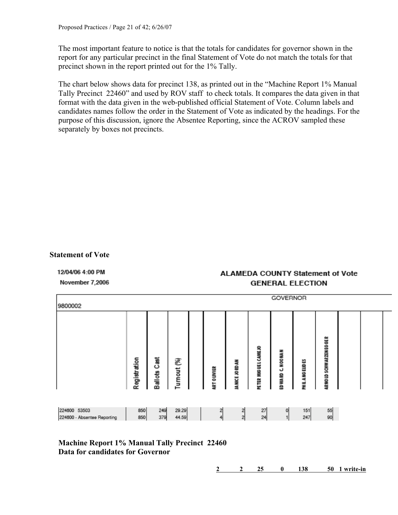The most important feature to notice is that the totals for candidates for governor shown in the report for any particular precinct in the final Statement of Vote do not match the totals for that precinct shown in the report printed out for the 1% Tally.

The chart below shows data for precinct 138, as printed out in the "Machine Report 1% Manual Tally Precinct 22460" and used by ROV staff to check totals. It compares the data given in that format with the data given in the web-published official Statement of Vote. Column labels and candidates names follow the order in the Statement of Vote as indicated by the headings. For the purpose of this discussion, ignore the Absentee Reporting, since the ACROV sampled these separately by boxes not precincts.

#### **Statement of Vote**

12/04/06 4:00 PM November 7,2006

## ALAMEDA COUNTY Statement of Vote **GENERAL ELECTION**

**2 2 25 0 138 50 1 write-in**



**Data for candidates for Governor**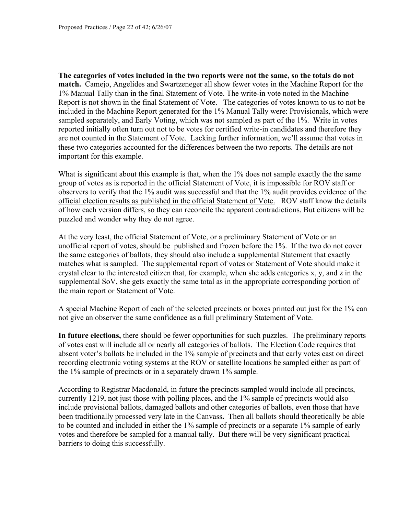**The categories of votes included in the two reports were not the same, so the totals do not match.** Camejo, Angelides and Swartzeneger all show fewer votes in the Machine Report for the 1% Manual Tally than in the final Statement of Vote. The write-in vote noted in the Machine Report is not shown in the final Statement of Vote. The categories of votes known to us to not be included in the Machine Report generated for the 1% Manual Tally were: Provisionals, which were sampled separately, and Early Voting, which was not sampled as part of the 1%. Write in votes reported initially often turn out not to be votes for certified write-in candidates and therefore they are not counted in the Statement of Vote. Lacking further information, we'll assume that votes in these two categories accounted for the differences between the two reports. The details are not important for this example.

What is significant about this example is that, when the 1% does not sample exactly the the same group of votes as is reported in the official Statement of Vote, it is impossible for ROV staff or observers to verify that the 1% audit was successful and that the 1% audit provides evidence of the official election results as published in the official Statement of Vote. ROV staff know the details of how each version differs, so they can reconcile the apparent contradictions. But citizens will be puzzled and wonder why they do not agree.

At the very least, the official Statement of Vote, or a preliminary Statement of Vote or an unofficial report of votes, should be published and frozen before the 1%. If the two do not cover the same categories of ballots, they should also include a supplemental Statement that exactly matches what is sampled. The supplemental report of votes or Statement of Vote should make it crystal clear to the interested citizen that, for example, when she adds categories x, y, and z in the supplemental SoV, she gets exactly the same total as in the appropriate corresponding portion of the main report or Statement of Vote.

A special Machine Report of each of the selected precincts or boxes printed out just for the 1% can not give an observer the same confidence as a full preliminary Statement of Vote.

**In future elections,** there should be fewer opportunities for such puzzles. The preliminary reports of votes cast will include all or nearly all categories of ballots. The Election Code requires that absent voter's ballots be included in the 1% sample of precincts and that early votes cast on direct recording electronic voting systems at the ROV or satellite locations be sampled either as part of the 1% sample of precincts or in a separately drawn 1% sample.

According to Registrar Macdonald, in future the precincts sampled would include all precincts, currently 1219, not just those with polling places, and the 1% sample of precincts would also include provisional ballots, damaged ballots and other categories of ballots, even those that have been traditionally processed very late in the Canvass**.** Then all ballots should theoretically be able to be counted and included in either the 1% sample of precincts or a separate 1% sample of early votes and therefore be sampled for a manual tally. But there will be very significant practical barriers to doing this successfully.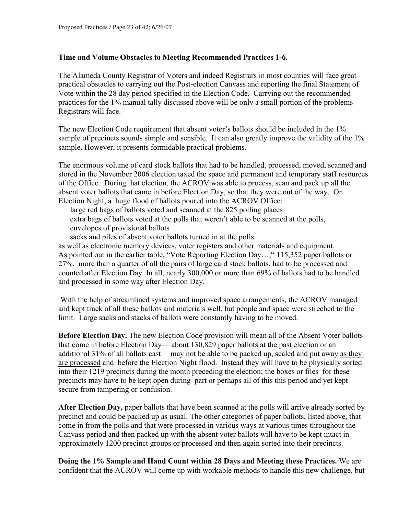## **Time and Volume Obstacles to Meeting Recommended Practices 1-6.**

The Alameda County Registrar of Voters and indeed Registrars in most counties will face great practical obstacles to carrying out the Post-election Canvass and reporting the final Statement of Vote within the 28 day period specified in the Election Code. Carrying out the recommended practices for the 1% manual tally discussed above will be only a small portion of the problems Registrars will face.

The new Election Code requirement that absent voter's ballots should be included in the 1% sample of precincts sounds simple and sensible. It can also greatly improve the validity of the 1% sample. However, it presents formidable practical problems.

The enormous volume of card stock ballots that had to be handled, processed, moved, scanned and stored in the November 2006 election taxed the space and permanent and temporary staff resources of the Office. During that election, the ACROV was able to process, scan and pack up all the absent voter ballots that came in before Election Day, so that they were out of the way. On Election Night, a huge flood of ballots poured into the ACROV Office:

large red bags of ballots voted and scanned at the 825 polling places extra bags of ballots voted at the polls that weren't able to be scanned at the polls, envelopes of provisional ballots

sacks and piles of absent voter ballots turned in at the polls

as well as electronic memory devices, voter registers and other materials and equipment. As pointed out in the earlier table, "Vote Reporting Election Day…," 115,352 paper ballots or 27%, more than a quarter of all the pairs of large card stock ballots, had to be processed and counted after Election Day. In all, nearly 300,000 or more than 69% of ballots had to be handled and processed in some way after Election Day.

With the help of streamlined systems and improved space arrangements, the ACROV managed and kept track of all these ballots and materials well, but people and space were streched to the limit. Large sacks and stacks of ballots were constantly having to be moved.

**Before Election Day.** The new Election Code provision will mean all of the Absent Voter ballots that come in before Election Day— about 130,829 paper ballots at the past election or an additional 31% of all ballots cast— may not be able to be packed up, sealed and put away as they are processed and before the Election Night flood. Instead they will have to be physically sorted into their 1219 precincts during the month preceding the election; the boxes or files for these precincts may have to be kept open during part or perhaps all of this this period and yet kept secure from tampering or confusion.

**After Election Day,** paper ballots that have been scanned at the polls will arrive already sorted by precinct and could be packed up as usual. The other categories of paper ballots, listed above, that come in from the polls and that were processed in various ways at various times throughout the Canvass period and then packed up with the absent voter ballots will have to be kept intact in approximately 1200 precinct groups or processed and then again sorted into their precincts.

**Doing the 1% Sample and Hand Count within 28 Days and Meeting these Practices.** We are confident that the ACROV will come up with workable methods to handle this new challenge, but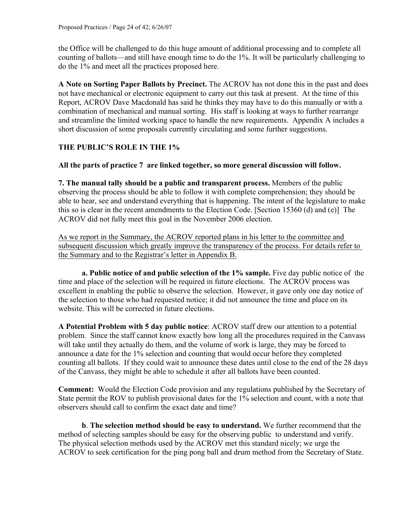the Office will be challenged to do this huge amount of additional processing and to complete all counting of ballots—and still have enough time to do the 1%. It will be particularly challenging to do the 1% and meet all the practices proposed here.

**A Note on Sorting Paper Ballots by Precinct.** The ACROV has not done this in the past and does not have mechanical or electronic equipment to carry out this task at present. At the time of this Report, ACROV Dave Macdonald has said he thinks they may have to do this manually or with a combination of mechanical and manual sorting. His staff is looking at ways to further rearrange and streamline the limited working space to handle the new requirements. Appendix A includes a short discussion of some proposals currently circulating and some further suggestions.

# **THE PUBLIC'S ROLE IN THE 1%**

## **All the parts of practice 7 are linked together, so more general discussion will follow.**

**7. The manual tally should be a public and transparent process.** Members of the public observing the process should be able to follow it with complete comprehension; they should be able to hear, see and understand everything that is happening. The intent of the legislature to make this so is clear in the recent amendments to the Election Code. [Section 15360 (d) and (e)] The ACROV did not fully meet this goal in the November 2006 election.

As we report in the Summary, the ACROV reported plans in his letter to the committee and subsequent discussion which greatly improve the transparency of the process. For details refer to the Summary and to the Registrar's letter in Appendix B.

**a. Public notice of and public selection of the 1% sample.** Five day public notice of the time and place of the selection will be required in future elections. The ACROV process was excellent in enabling the public to observe the selection. However, it gave only one day notice of the selection to those who had requested notice; it did not announce the time and place on its website. This will be corrected in future elections.

**A Potential Problem with 5 day public notice**: ACROV staff drew our attention to a potential problem. Since the staff cannot know exactly how long all the procedures required in the Canvass will take until they actually do them, and the volume of work is large, they may be forced to announce a date for the 1% selection and counting that would occur before they completed counting all ballots. If they could wait to announce these dates until close to the end of the 28 days of the Canvass, they might be able to schedule it after all ballots have been counted.

**Comment:** Would the Election Code provision and any regulations published by the Secretary of State permit the ROV to publish provisional dates for the 1% selection and count, with a note that observers should call to confirm the exact date and time?

**b**. **The selection method should be easy to understand.** We further recommend that the method of selecting samples should be easy for the observing public to understand and verify. The physical selection methods used by the ACROV met this standard nicely; we urge the ACROV to seek certification for the ping pong ball and drum method from the Secretary of State.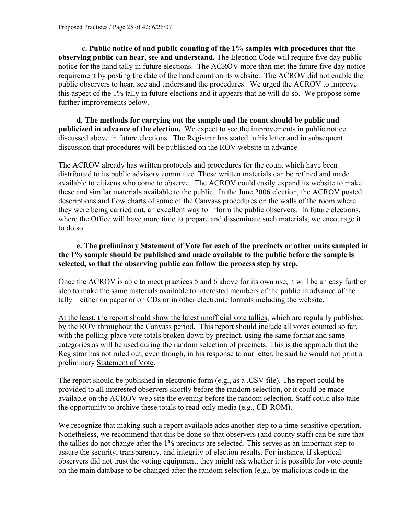**c. Public notice of and public counting of the 1% samples with procedures that the observing public can hear, see and understand.** The Election Code will require five day public notice for the hand tally in future elections. The ACROV more than met the future five day notice requirement by posting the date of the hand count on its website. The ACROV did not enable the public observers to hear, see and understand the procedures. We urged the ACROV to improve this aspect of the 1% tally in future elections and it appears that he will do so. We propose some further improvements below.

**d. The methods for carrying out the sample and the count should be public and publicized in advance of the election.** We expect to see the improvements in public notice discussed above in future elections. The Registrar has stated in his letter and in subsequent discussion that procedures will be published on the ROV website in advance.

The ACROV already has written protocols and procedures for the count which have been distributed to its public advisory committee. These written materials can be refined and made available to citizens who come to observe. The ACROV could easily expand its website to make these and similar materials available to the public. In the June 2006 election, the ACROV posted descriptions and flow charts of some of the Canvass procedures on the walls of the room where they were being carried out, an excellent way to inform the public observers. In future elections, where the Office will have more time to prepare and disseminate such materials, we encourage it to do so.

## **e. The preliminary Statement of Vote for each of the precincts or other units sampled in the 1% sample should be published and made available to the public before the sample is selected, so that the observing public can follow the process step by step.**

Once the ACROV is able to meet practices 5 and 6 above for its own use, it will be an easy further step to make the same materials available to interested members of the public in advance of the tally—either on paper or on CDs or in other electronic formats including the website.

At the least, the report should show the latest unofficial vote tallies, which are regularly published by the ROV throughout the Canvass period. This report should include all votes counted so far, with the polling-place vote totals broken down by precinct, using the same format and same categories as will be used during the random selection of precincts. This is the approach that the Registrar has not ruled out, even though, in his response to our letter, he said he would not print a preliminary Statement of Vote.

The report should be published in electronic form (e.g., as a .CSV file). The report could be provided to all interested observers shortly before the random selection, or it could be made available on the ACROV web site the evening before the random selection. Staff could also take the opportunity to archive these totals to read-only media (e.g., CD-ROM).

We recognize that making such a report available adds another step to a time-sensitive operation. Nonetheless, we recommend that this be done so that observers (and county staff) can be sure that the tallies do not change after the 1% precincts are selected. This serves as an important step to assure the security, transparency, and integrity of election results. For instance, if skeptical observers did not trust the voting equipment, they might ask whether it is possible for vote counts on the main database to be changed after the random selection (e.g., by malicious code in the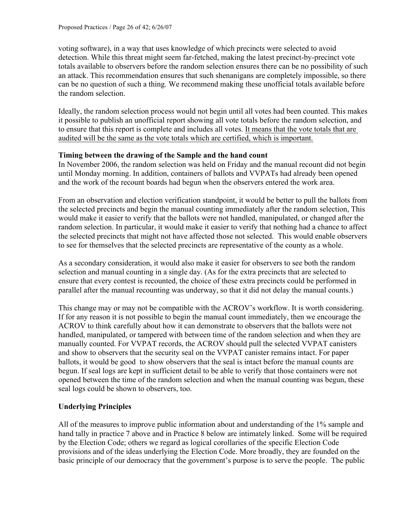voting software), in a way that uses knowledge of which precincts were selected to avoid detection. While this threat might seem far-fetched, making the latest precinct-by-precinct vote totals available to observers before the random selection ensures there can be no possibility of such an attack. This recommendation ensures that such shenanigans are completely impossible, so there can be no question of such a thing. We recommend making these unofficial totals available before the random selection.

Ideally, the random selection process would not begin until all votes had been counted. This makes it possible to publish an unofficial report showing all vote totals before the random selection, and to ensure that this report is complete and includes all votes. It means that the vote totals that are audited will be the same as the vote totals which are certified, which is important.

#### **Timing between the drawing of the Sample and the hand count**

In November 2006, the random selection was held on Friday and the manual recount did not begin until Monday morning. In addition, containers of ballots and VVPATs had already been opened and the work of the recount boards had begun when the observers entered the work area.

From an observation and election verification standpoint, it would be better to pull the ballots from the selected precincts and begin the manual counting immediately after the random selection, This would make it easier to verify that the ballots were not handled, manipulated, or changed after the random selection. In particular, it would make it easier to verify that nothing had a chance to affect the selected precincts that might not have affected those not selected. This would enable observers to see for themselves that the selected precincts are representative of the county as a whole.

As a secondary consideration, it would also make it easier for observers to see both the random selection and manual counting in a single day. (As for the extra precincts that are selected to ensure that every contest is recounted, the choice of these extra precincts could be performed in parallel after the manual recounting was underway, so that it did not delay the manual counts.)

This change may or may not be compatible with the ACROV's workflow. It is worth considering. If for any reason it is not possible to begin the manual count immediately, then we encourage the ACROV to think carefully about how it can demonstrate to observers that the ballots were not handled, manipulated, or tampered with between time of the random selection and when they are manually counted. For VVPAT records, the ACROV should pull the selected VVPAT canisters and show to observers that the security seal on the VVPAT canister remains intact. For paper ballots, it would be good to show observers that the seal is intact before the manual counts are begun. If seal logs are kept in sufficient detail to be able to verify that those containers were not opened between the time of the random selection and when the manual counting was begun, these seal logs could be shown to observers, too.

## **Underlying Principles**

All of the measures to improve public information about and understanding of the 1% sample and hand tally in practice 7 above and in Practice 8 below are intimately linked. Some will be required by the Election Code; others we regard as logical corollaries of the specific Election Code provisions and of the ideas underlying the Election Code. More broadly, they are founded on the basic principle of our democracy that the government's purpose is to serve the people. The public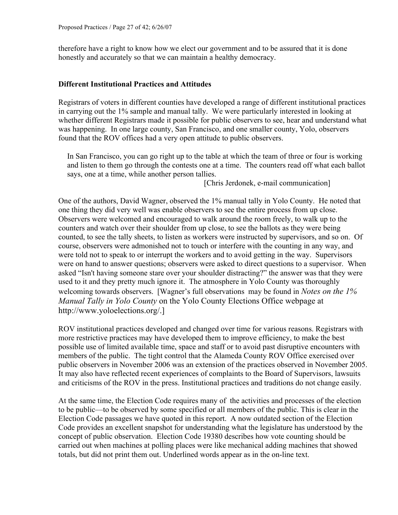therefore have a right to know how we elect our government and to be assured that it is done honestly and accurately so that we can maintain a healthy democracy.

#### **Different Institutional Practices and Attitudes**

Registrars of voters in different counties have developed a range of different institutional practices in carrying out the 1% sample and manual tally. We were particularly interested in looking at whether different Registrars made it possible for public observers to see, hear and understand what was happening. In one large county, San Francisco, and one smaller county, Yolo, observers found that the ROV offices had a very open attitude to public observers.

In San Francisco, you can go right up to the table at which the team of three or four is working and listen to them go through the contests one at a time. The counters read off what each ballot says, one at a time, while another person tallies.

[Chris Jerdonek, e-mail communication]

One of the authors, David Wagner, observed the 1% manual tally in Yolo County. He noted that one thing they did very well was enable observers to see the entire process from up close. Observers were welcomed and encouraged to walk around the room freely, to walk up to the counters and watch over their shoulder from up close, to see the ballots as they were being counted, to see the tally sheets, to listen as workers were instructed by supervisors, and so on. Of course, observers were admonished not to touch or interfere with the counting in any way, and were told not to speak to or interrupt the workers and to avoid getting in the way. Supervisors were on hand to answer questions; observers were asked to direct questions to a supervisor. When asked "Isn't having someone stare over your shoulder distracting?" the answer was that they were used to it and they pretty much ignore it. The atmosphere in Yolo County was thoroughly welcoming towards observers. [Wagner's full observations may be found in *Notes on the 1% Manual Tally in Yolo County* on the Yolo County Elections Office webpage at http://www.yoloelections.org/.]

ROV institutional practices developed and changed over time for various reasons. Registrars with more restrictive practices may have developed them to improve efficiency, to make the best possible use of limited available time, space and staff or to avoid past disruptive encounters with members of the public. The tight control that the Alameda County ROV Office exercised over public observers in November 2006 was an extension of the practices observed in November 2005. It may also have reflected recent experiences of complaints to the Board of Supervisors, lawsuits and criticisms of the ROV in the press. Institutional practices and traditions do not change easily.

At the same time, the Election Code requires many of the activities and processes of the election to be public—to be observed by some specified or all members of the public. This is clear in the Election Code passages we have quoted in this report. A now outdated section of the Election Code provides an excellent snapshot for understanding what the legislature has understood by the concept of public observation. Election Code 19380 describes how vote counting should be carried out when machines at polling places were like mechanical adding machines that showed totals, but did not print them out. Underlined words appear as in the on-line text.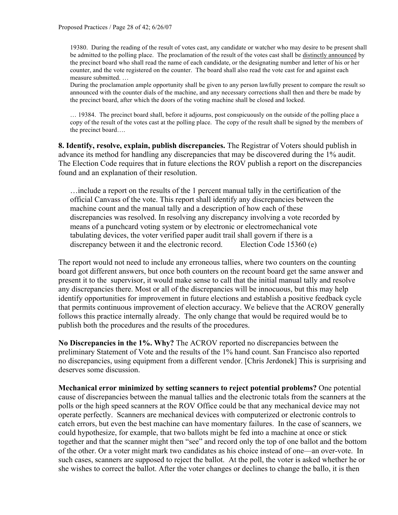19380. During the reading of the result of votes cast, any candidate or watcher who may desire to be present shall be admitted to the polling place. The proclamation of the result of the votes cast shall be distinctly announced by the precinct board who shall read the name of each candidate, or the designating number and letter of his or her counter, and the vote registered on the counter. The board shall also read the vote cast for and against each measure submitted. …

During the proclamation ample opportunity shall be given to any person lawfully present to compare the result so announced with the counter dials of the machine, and any necessary corrections shall then and there be made by the precinct board, after which the doors of the voting machine shall be closed and locked.

… 19384. The precinct board shall, before it adjourns, post conspicuously on the outside of the polling place a copy of the result of the votes cast at the polling place. The copy of the result shall be signed by the members of the precinct board….

**8. Identify, resolve, explain, publish discrepancies.** The Registrar of Voters should publish in advance its method for handling any discrepancies that may be discovered during the 1% audit. The Election Code requires that in future elections the ROV publish a report on the discrepancies found and an explanation of their resolution.

…include a report on the results of the 1 percent manual tally in the certification of the official Canvass of the vote. This report shall identify any discrepancies between the machine count and the manual tally and a description of how each of these discrepancies was resolved. In resolving any discrepancy involving a vote recorded by means of a punchcard voting system or by electronic or electromechanical vote tabulating devices, the voter verified paper audit trail shall govern if there is a discrepancy between it and the electronic record. Election Code 15360 (e)

The report would not need to include any erroneous tallies, where two counters on the counting board got different answers, but once both counters on the recount board get the same answer and present it to the supervisor, it would make sense to call that the initial manual tally and resolve any discrepancies there. Most or all of the discrepancies will be innocuous, but this may help identify opportunities for improvement in future elections and establish a positive feedback cycle that permits continuous improvement of election accuracy. We believe that the ACROV generally follows this practice internally already. The only change that would be required would be to publish both the procedures and the results of the procedures.

**No Discrepancies in the 1%. Why?** The ACROV reported no discrepancies between the preliminary Statement of Vote and the results of the 1% hand count. San Francisco also reported no discrepancies, using equipment from a different vendor. [Chris Jerdonek] This is surprising and deserves some discussion.

**Mechanical error minimized by setting scanners to reject potential problems?** One potential cause of discrepancies between the manual tallies and the electronic totals from the scanners at the polls or the high speed scanners at the ROV Office could be that any mechanical device may not operate perfectly. Scanners are mechanical devices with computerized or electronic controls to catch errors, but even the best machine can have momentary failures. In the case of scanners, we could hypothesize, for example, that two ballots might be fed into a machine at once or stick together and that the scanner might then "see" and record only the top of one ballot and the bottom of the other. Or a voter might mark two candidates as his choice instead of one—an over-vote. In such cases, scanners are supposed to reject the ballot. At the poll, the voter is asked whether he or she wishes to correct the ballot. After the voter changes or declines to change the ballo, it is then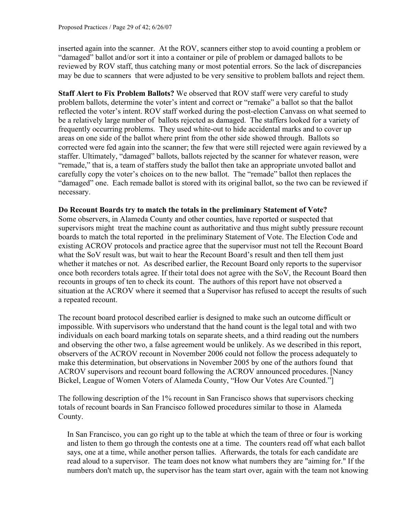inserted again into the scanner. At the ROV, scanners either stop to avoid counting a problem or "damaged" ballot and/or sort it into a container or pile of problem or damaged ballots to be reviewed by ROV staff, thus catching many or most potential errors. So the lack of discrepancies may be due to scanners that were adjusted to be very sensitive to problem ballots and reject them.

**Staff Alert to Fix Problem Ballots?** We observed that ROV staff were very careful to study problem ballots, determine the voter's intent and correct or "remake" a ballot so that the ballot reflected the voter's intent. ROV staff worked during the post-election Canvass on what seemed to be a relatively large number of ballots rejected as damaged. The staffers looked for a variety of frequently occurring problems. They used white-out to hide accidental marks and to cover up areas on one side of the ballot where print from the other side showed through. Ballots so corrected were fed again into the scanner; the few that were still rejected were again reviewed by a staffer. Ultimately, "damaged" ballots, ballots rejected by the scanner for whatever reason, were "remade," that is, a team of staffers study the ballot then take an appropriate unvoted ballot and carefully copy the voter's choices on to the new ballot. The "remade" ballot then replaces the "damaged" one. Each remade ballot is stored with its original ballot, so the two can be reviewed if necessary.

#### **Do Recount Boards try to match the totals in the preliminary Statement of Vote?**

Some observers, in Alameda County and other counties, have reported or suspected that supervisors might treat the machine count as authoritative and thus might subtly pressure recount boards to match the total reported in the preliminary Statement of Vote. The Election Code and existing ACROV protocols and practice agree that the supervisor must not tell the Recount Board what the SoV result was, but wait to hear the Recount Board's result and then tell them just whether it matches or not. As described earlier, the Recount Board only reports to the supervisor once both recorders totals agree. If their total does not agree with the SoV, the Recount Board then recounts in groups of ten to check its count. The authors of this report have not observed a situation at the ACROV where it seemed that a Supervisor has refused to accept the results of such a repeated recount.

The recount board protocol described earlier is designed to make such an outcome difficult or impossible. With supervisors who understand that the hand count is the legal total and with two individuals on each board marking totals on separate sheets, and a third reading out the numbers and observing the other two, a false agreement would be unlikely. As we described in this report, observers of the ACROV recount in November 2006 could not follow the process adequately to make this determination, but observations in November 2005 by one of the authors found that ACROV supervisors and recount board following the ACROV announced procedures. [Nancy Bickel, League of Women Voters of Alameda County, "How Our Votes Are Counted."]

The following description of the 1% recount in San Francisco shows that supervisors checking totals of recount boards in San Francisco followed procedures similar to those in Alameda County.

In San Francisco, you can go right up to the table at which the team of three or four is working and listen to them go through the contests one at a time. The counters read off what each ballot says, one at a time, while another person tallies. Afterwards, the totals for each candidate are read aloud to a supervisor. The team does not know what numbers they are "aiming for." If the numbers don't match up, the supervisor has the team start over, again with the team not knowing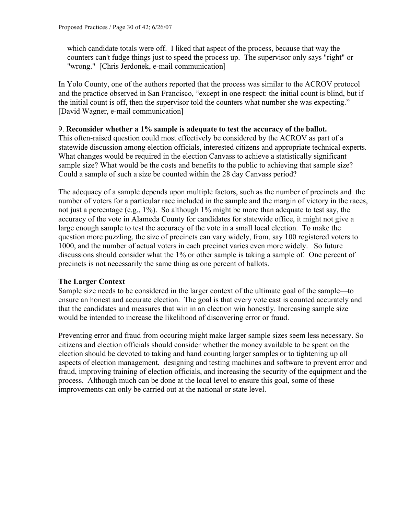which candidate totals were off. I liked that aspect of the process, because that way the counters can't fudge things just to speed the process up. The supervisor only says "right" or "wrong." [Chris Jerdonek, e-mail communication]

In Yolo County, one of the authors reported that the process was similar to the ACROV protocol and the practice observed in San Francisco, "except in one respect: the initial count is blind, but if the initial count is off, then the supervisor told the counters what number she was expecting." [David Wagner, e-mail communication]

#### 9. **Reconsider whether a 1% sample is adequate to test the accuracy of the ballot.**

This often-raised question could most effectively be considered by the ACROV as part of a statewide discussion among election officials, interested citizens and appropriate technical experts. What changes would be required in the election Canvass to achieve a statistically significant sample size? What would be the costs and benefits to the public to achieving that sample size? Could a sample of such a size be counted within the 28 day Canvass period?

The adequacy of a sample depends upon multiple factors, such as the number of precincts and the number of voters for a particular race included in the sample and the margin of victory in the races, not just a percentage (e.g., 1%). So although 1% might be more than adequate to test say, the accuracy of the vote in Alameda County for candidates for statewide office, it might not give a large enough sample to test the accuracy of the vote in a small local election. To make the question more puzzling, the size of precincts can vary widely, from, say 100 registered voters to 1000, and the number of actual voters in each precinct varies even more widely. So future discussions should consider what the 1% or other sample is taking a sample of. One percent of precincts is not necessarily the same thing as one percent of ballots.

## **The Larger Context**

Sample size needs to be considered in the larger context of the ultimate goal of the sample—to ensure an honest and accurate election. The goal is that every vote cast is counted accurately and that the candidates and measures that win in an election win honestly. Increasing sample size would be intended to increase the likelihood of discovering error or fraud.

Preventing error and fraud from occuring might make larger sample sizes seem less necessary. So citizens and election officials should consider whether the money available to be spent on the election should be devoted to taking and hand counting larger samples or to tightening up all aspects of election management, designing and testing machines and software to prevent error and fraud, improving training of election officials, and increasing the security of the equipment and the process. Although much can be done at the local level to ensure this goal, some of these improvements can only be carried out at the national or state level.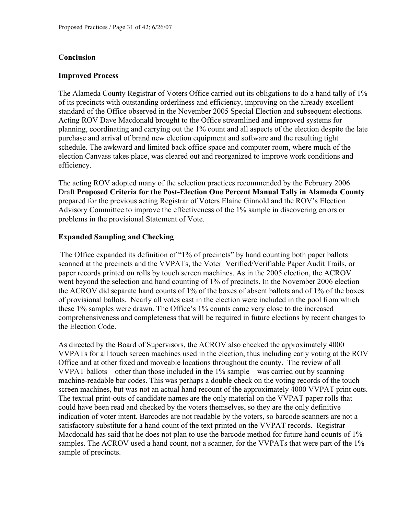#### **Conclusion**

#### **Improved Process**

The Alameda County Registrar of Voters Office carried out its obligations to do a hand tally of 1% of its precincts with outstanding orderliness and efficiency, improving on the already excellent standard of the Office observed in the November 2005 Special Election and subsequent elections. Acting ROV Dave Macdonald brought to the Office streamlined and improved systems for planning, coordinating and carrying out the 1% count and all aspects of the election despite the late purchase and arrival of brand new election equipment and software and the resulting tight schedule. The awkward and limited back office space and computer room, where much of the election Canvass takes place, was cleared out and reorganized to improve work conditions and efficiency.

The acting ROV adopted many of the selection practices recommended by the February 2006 Draft **Proposed Criteria for the Post-Election One Percent Manual Tally in Alameda County**  prepared for the previous acting Registrar of Voters Elaine Ginnold and the ROV's Election Advisory Committee to improve the effectiveness of the 1% sample in discovering errors or problems in the provisional Statement of Vote.

#### **Expanded Sampling and Checking**

The Office expanded its definition of "1% of precincts" by hand counting both paper ballots scanned at the precincts and the VVPATs, the Voter Verified/Verifiable Paper Audit Trails, or paper records printed on rolls by touch screen machines. As in the 2005 election, the ACROV went beyond the selection and hand counting of 1% of precincts. In the November 2006 election the ACROV did separate hand counts of 1% of the boxes of absent ballots and of 1% of the boxes of provisional ballots. Nearly all votes cast in the election were included in the pool from which these 1% samples were drawn. The Office's 1% counts came very close to the increased comprehensiveness and completeness that will be required in future elections by recent changes to the Election Code.

As directed by the Board of Supervisors, the ACROV also checked the approximately 4000 VVPATs for all touch screen machines used in the election, thus including early voting at the ROV Office and at other fixed and moveable locations throughout the county. The review of all VVPAT ballots—other than those included in the 1% sample—was carried out by scanning machine-readable bar codes. This was perhaps a double check on the voting records of the touch screen machines, but was not an actual hand recount of the approximately 4000 VVPAT print outs. The textual print-outs of candidate names are the only material on the VVPAT paper rolls that could have been read and checked by the voters themselves, so they are the only definitive indication of voter intent. Barcodes are not readable by the voters, so barcode scanners are not a satisfactory substitute for a hand count of the text printed on the VVPAT records. Registrar Macdonald has said that he does not plan to use the barcode method for future hand counts of 1% samples. The ACROV used a hand count, not a scanner, for the VVPATs that were part of the 1% sample of precincts.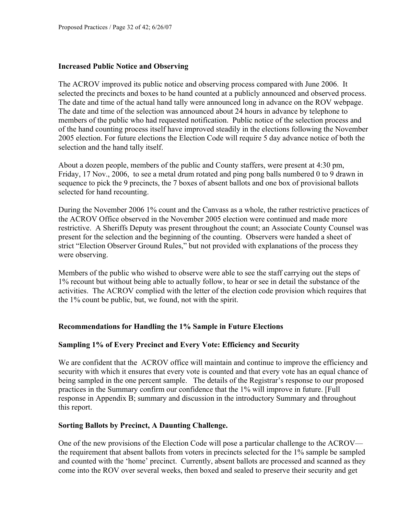#### **Increased Public Notice and Observing**

The ACROV improved its public notice and observing process compared with June 2006. It selected the precincts and boxes to be hand counted at a publicly announced and observed process. The date and time of the actual hand tally were announced long in advance on the ROV webpage. The date and time of the selection was announced about 24 hours in advance by telephone to members of the public who had requested notification. Public notice of the selection process and of the hand counting process itself have improved steadily in the elections following the November 2005 election. For future elections the Election Code will require 5 day advance notice of both the selection and the hand tally itself.

About a dozen people, members of the public and County staffers, were present at 4:30 pm, Friday, 17 Nov., 2006, to see a metal drum rotated and ping pong balls numbered 0 to 9 drawn in sequence to pick the 9 precincts, the 7 boxes of absent ballots and one box of provisional ballots selected for hand recounting.

During the November 2006 1% count and the Canvass as a whole, the rather restrictive practices of the ACROV Office observed in the November 2005 election were continued and made more restrictive. A Sheriffs Deputy was present throughout the count; an Associate County Counsel was present for the selection and the beginning of the counting. Observers were handed a sheet of strict "Election Observer Ground Rules," but not provided with explanations of the process they were observing.

Members of the public who wished to observe were able to see the staff carrying out the steps of 1% recount but without being able to actually follow, to hear or see in detail the substance of the activities. The ACROV complied with the letter of the election code provision which requires that the 1% count be public, but, we found, not with the spirit.

## **Recommendations for Handling the 1% Sample in Future Elections**

#### **Sampling 1% of Every Precinct and Every Vote: Efficiency and Security**

We are confident that the ACROV office will maintain and continue to improve the efficiency and security with which it ensures that every vote is counted and that every vote has an equal chance of being sampled in the one percent sample. The details of the Registrar's response to our proposed practices in the Summary confirm our confidence that the 1% will improve in future. [Full response in Appendix B; summary and discussion in the introductory Summary and throughout this report.

#### **Sorting Ballots by Precinct, A Daunting Challenge.**

One of the new provisions of the Election Code will pose a particular challenge to the ACROV the requirement that absent ballots from voters in precincts selected for the 1% sample be sampled and counted with the 'home' precinct. Currently, absent ballots are processed and scanned as they come into the ROV over several weeks, then boxed and sealed to preserve their security and get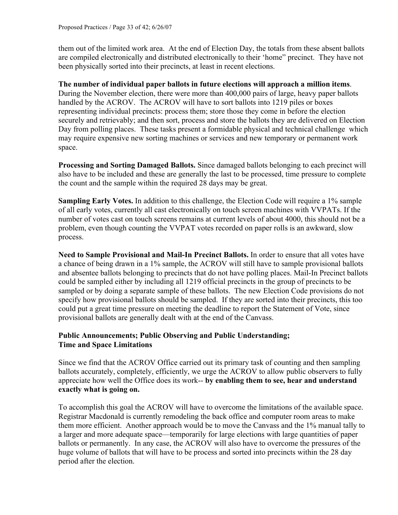them out of the limited work area. At the end of Election Day, the totals from these absent ballots are compiled electronically and distributed electronically to their 'home" precinct. They have not been physically sorted into their precincts, at least in recent elections.

**The number of individual paper ballots in future elections will approach a million items**. During the November election, there were more than 400,000 pairs of large, heavy paper ballots handled by the ACROV. The ACROV will have to sort ballots into 1219 piles or boxes representing individual precincts: process them; store those they come in before the election securely and retrievably; and then sort, process and store the ballots they are delivered on Election Day from polling places. These tasks present a formidable physical and technical challenge which may require expensive new sorting machines or services and new temporary or permanent work space.

**Processing and Sorting Damaged Ballots.** Since damaged ballots belonging to each precinct will also have to be included and these are generally the last to be processed, time pressure to complete the count and the sample within the required 28 days may be great.

**Sampling Early Votes.** In addition to this challenge, the Election Code will require a 1% sample of all early votes, currently all cast electronically on touch screen machines with VVPATs. If the number of votes cast on touch screens remains at current levels of about 4000, this should not be a problem, even though counting the VVPAT votes recorded on paper rolls is an awkward, slow process.

**Need to Sample Provisional and Mail-In Precinct Ballots.** In order to ensure that all votes have a chance of being drawn in a 1% sample, the ACROV will still have to sample provisional ballots and absentee ballots belonging to precincts that do not have polling places. Mail-In Precinct ballots could be sampled either by including all 1219 official precincts in the group of precincts to be sampled or by doing a separate sample of these ballots. The new Election Code provisions do not specify how provisional ballots should be sampled. If they are sorted into their precincts, this too could put a great time pressure on meeting the deadline to report the Statement of Vote, since provisional ballots are generally dealt with at the end of the Canvass.

## **Public Announcements; Public Observing and Public Understanding; Time and Space Limitations**

Since we find that the ACROV Office carried out its primary task of counting and then sampling ballots accurately, completely, efficiently, we urge the ACROV to allow public observers to fully appreciate how well the Office does its work-- **by enabling them to see, hear and understand exactly what is going on.** 

To accomplish this goal the ACROV will have to overcome the limitations of the available space. Registrar Macdonald is currently remodeling the back office and computer room areas to make them more efficient. Another approach would be to move the Canvass and the 1% manual tally to a larger and more adequate space—temporarily for large elections with large quantities of paper ballots or permanently. In any case, the ACROV will also have to overcome the pressures of the huge volume of ballots that will have to be process and sorted into precincts within the 28 day period after the election.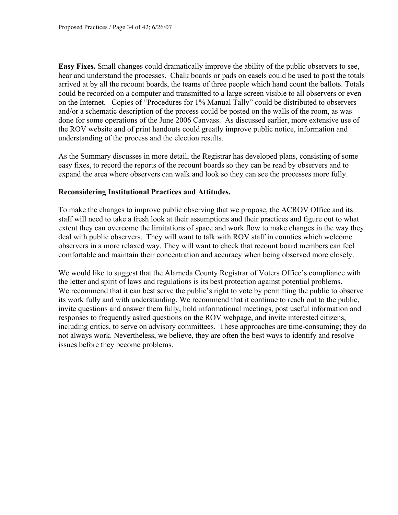**Easy Fixes.** Small changes could dramatically improve the ability of the public observers to see, hear and understand the processes. Chalk boards or pads on easels could be used to post the totals arrived at by all the recount boards, the teams of three people which hand count the ballots. Totals could be recorded on a computer and transmitted to a large screen visible to all observers or even on the Internet. Copies of "Procedures for 1% Manual Tally" could be distributed to observers and/or a schematic description of the process could be posted on the walls of the room, as was done for some operations of the June 2006 Canvass. As discussed earlier, more extensive use of the ROV website and of print handouts could greatly improve public notice, information and understanding of the process and the election results.

As the Summary discusses in more detail, the Registrar has developed plans, consisting of some easy fixes, to record the reports of the recount boards so they can be read by observers and to expand the area where observers can walk and look so they can see the processes more fully.

#### **Reconsidering Institutional Practices and Attitudes.**

To make the changes to improve public observing that we propose, the ACROV Office and its staff will need to take a fresh look at their assumptions and their practices and figure out to what extent they can overcome the limitations of space and work flow to make changes in the way they deal with public observers. They will want to talk with ROV staff in counties which welcome observers in a more relaxed way. They will want to check that recount board members can feel comfortable and maintain their concentration and accuracy when being observed more closely.

We would like to suggest that the Alameda County Registrar of Voters Office's compliance with the letter and spirit of laws and regulations is its best protection against potential problems. We recommend that it can best serve the public's right to vote by permitting the public to observe its work fully and with understanding. We recommend that it continue to reach out to the public, invite questions and answer them fully, hold informational meetings, post useful information and responses to frequently asked questions on the ROV webpage, and invite interested citizens, including critics, to serve on advisory committees. These approaches are time-consuming; they do not always work. Nevertheless, we believe, they are often the best ways to identify and resolve issues before they become problems.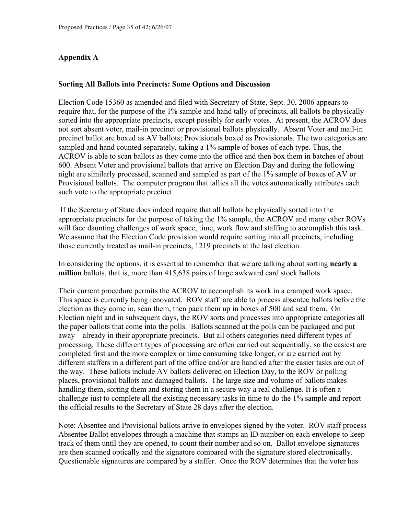## **Appendix A**

#### **Sorting All Ballots into Precincts: Some Options and Discussion**

Election Code 15360 as amended and filed with Secretary of State, Sept. 30, 2006 appears to require that, for the purpose of the 1% sample and hand tally of precincts, all ballots be physically sorted into the appropriate precincts, except possibly for early votes. At present, the ACROV does not sort absent voter, mail-in precinct or provisional ballots physically. Absent Voter and mail-in precinct ballot are boxed as AV ballots; Provisionals boxed as Provisionals. The two categories are sampled and hand counted separately, taking a 1% sample of boxes of each type. Thus, the ACROV is able to scan ballots as they come into the office and then box them in batches of about 600. Absent Voter and provisional ballots that arrive on Election Day and during the following night are similarly processed, scanned and sampled as part of the 1% sample of boxes of AV or Provisional ballots. The computer program that tallies all the votes automatically attributes each such vote to the appropriate precinct.

If the Secretary of State does indeed require that all ballots be physically sorted into the appropriate precincts for the purpose of taking the 1% sample, the ACROV and many other ROVs will face daunting challenges of work space, time, work flow and staffing to accomplish this task. We assume that the Election Code provision would require sorting into all precincts, including those currently treated as mail-in precincts, 1219 precincts at the last election.

In considering the options, it is essential to remember that we are talking about sorting **nearly a million** ballots, that is, more than 415,638 pairs of large awkward card stock ballots.

Their current procedure permits the ACROV to accomplish its work in a cramped work space. This space is currently being renovated. ROV staff are able to process absentee ballots before the election as they come in, scan them, then pack them up in boxes of 500 and seal them. On Election night and in subsequent days, the ROV sorts and processes into appropriate categories all the paper ballots that come into the polls. Ballots scanned at the polls can be packaged and put away—already in their appropriate precincts. But all others categories need different types of processing. These different types of processing are often carried out sequentially, so the easiest are completed first and the more complex or time consuming take longer, or are carried out by different staffers in a different part of the office and/or are handled after the easier tasks are out of the way. These ballots include AV ballots delivered on Election Day, to the ROV or polling places, provisional ballots and damaged ballots. The large size and volume of ballots makes handling them, sorting them and storing them in a secure way a real challenge. It is often a challenge just to complete all the existing necessary tasks in time to do the 1% sample and report the official results to the Secretary of State 28 days after the election.

Note: Absentee and Provisional ballots arrive in envelopes signed by the voter. ROV staff process Absentee Ballot envelopes through a machine that stamps an ID number on each envelope to keep track of them until they are opened, to count their number and so on. Ballot envelope signatures are then scanned optically and the signature compared with the signature stored electronically. Questionable signatures are compared by a staffer. Once the ROV determines that the voter has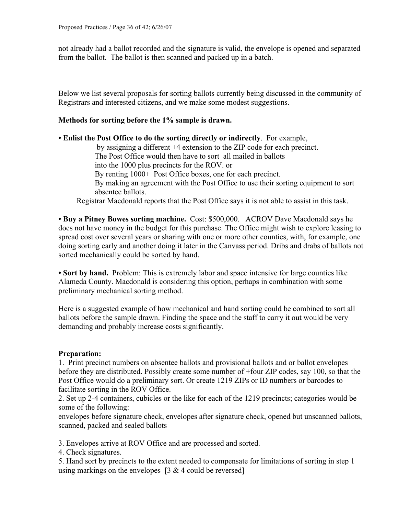not already had a ballot recorded and the signature is valid, the envelope is opened and separated from the ballot. The ballot is then scanned and packed up in a batch.

Below we list several proposals for sorting ballots currently being discussed in the community of Registrars and interested citizens, and we make some modest suggestions.

## **Methods for sorting before the 1% sample is drawn.**

**• Enlist the Post Office to do the sorting directly or indirectly**. For example,

by assigning a different +4 extension to the ZIP code for each precinct.

The Post Office would then have to sort all mailed in ballots

into the 1000 plus precincts for the ROV. or

By renting  $1000+$  Post Office boxes, one for each precinct.

By making an agreement with the Post Office to use their sorting equipment to sort absentee ballots.

Registrar Macdonald reports that the Post Office says it is not able to assist in this task.

**• Buy a Pitney Bowes sorting machine.** Cost: \$500,000. ACROV Dave Macdonald says he does not have money in the budget for this purchase. The Office might wish to explore leasing to spread cost over several years or sharing with one or more other counties, with, for example, one doing sorting early and another doing it later in the Canvass period. Dribs and drabs of ballots not sorted mechanically could be sorted by hand.

**• Sort by hand.** Problem: This is extremely labor and space intensive for large counties like Alameda County. Macdonald is considering this option, perhaps in combination with some preliminary mechanical sorting method.

Here is a suggested example of how mechanical and hand sorting could be combined to sort all ballots before the sample drawn. Finding the space and the staff to carry it out would be very demanding and probably increase costs significantly.

# **Preparation:**

1. Print precinct numbers on absentee ballots and provisional ballots and or ballot envelopes before they are distributed. Possibly create some number of +four ZIP codes, say 100, so that the Post Office would do a preliminary sort. Or create 1219 ZIPs or ID numbers or barcodes to facilitate sorting in the ROV Office.

2. Set up 2-4 containers, cubicles or the like for each of the 1219 precincts; categories would be some of the following:

envelopes before signature check, envelopes after signature check, opened but unscanned ballots, scanned, packed and sealed ballots

3. Envelopes arrive at ROV Office and are processed and sorted.

4. Check signatures.

5. Hand sort by precincts to the extent needed to compensate for limitations of sorting in step 1 using markings on the envelopes  $\left[3 \& 4 \text{ could be reversed}\right]$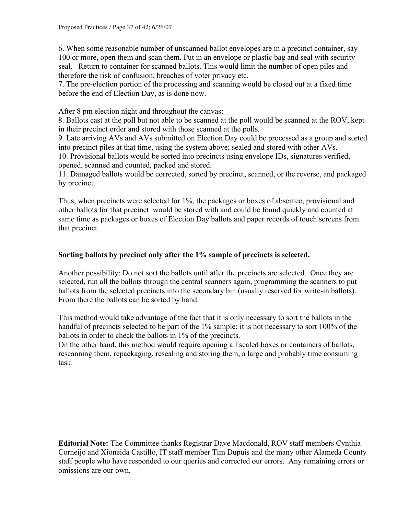6. When some reasonable number of unscanned ballot envelopes are in a precinct container, say 100 or more, open them and scan them. Put in an envelope or plastic bag and seal with security seal. Return to container for scanned ballots. This would limit the number of open piles and therefore the risk of confusion, breaches of voter privacy etc.

7. The pre-election portion of the processing and scanning would be closed out at a fixed time before the end of Election Day, as is done now.

After 8 pm election night and throughout the canvas:

8. Ballots cast at the poll but not able to be scanned at the poll would be scanned at the ROV, kept in their precinct order and stored with those scanned at the polls.

9. Late arriving AVs and AVs submitted on Election Day could be processed as a group and sorted into precinct piles at that time, using the system above; sealed and stored with other AVs.

10. Provisional ballots would be sorted into precincts using envelope IDs, signatures verified, opened, scanned and counted, packed and stored.

11. Damaged ballots would be corrected, sorted by precinct, scanned, or the reverse, and packaged by precinct.

Thus, when precincts were selected for 1%, the packages or boxes of absentee, provisional and other ballots for that precinct would be stored with and could be found quickly and counted at same time as packages or boxes of Election Day ballots and paper records of touch screens from that precinct.

# **Sorting ballots by precinct only after the 1% sample of precincts is selected.**

Another possibility: Do not sort the ballots until after the precincts are selected. Once they are selected, run all the ballots through the central scanners again, programming the scanners to put ballots from the selected precincts into the secondary bin (usually reserved for write-in ballots). From there the ballots can be sorted by hand.

This method would take advantage of the fact that it is only necessary to sort the ballots in the handful of precincts selected to be part of the 1% sample; it is not necessary to sort 100% of the ballots in order to check the ballots in 1% of the precincts.

On the other hand, this method would require opening all sealed boxes or containers of ballots, rescanning them, repackaging, resealing and storing them, a large and probably time consuming task.

**Editorial Note:** The Committee thanks Registrar Dave Macdonald, ROV staff members Cynthia Corneijo and Xioneida Castillo, IT staff member Tim Dupuis and the many other Alameda County staff people who have responded to our queries and corrected our errors. Any remaining errors or omissions are our own.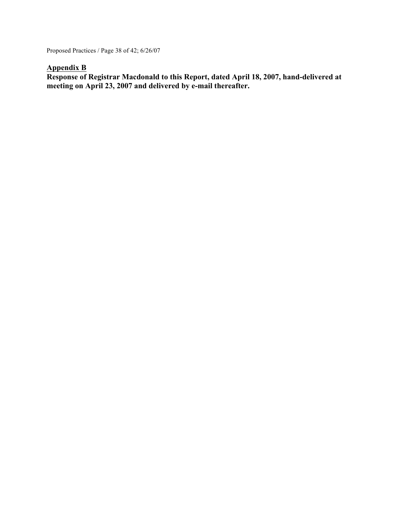Proposed Practices / Page 38 of 42; 6/26/07

## **Appendix B**

**Response of Registrar Macdonald to this Report, dated April 18, 2007, hand-delivered at meeting on April 23, 2007 and delivered by e-mail thereafter.**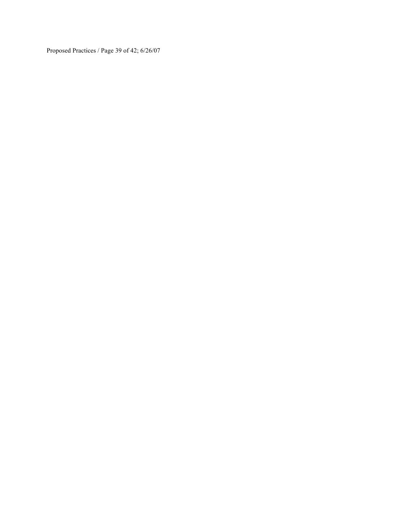Proposed Practices / Page 39 of 42; 6/26/07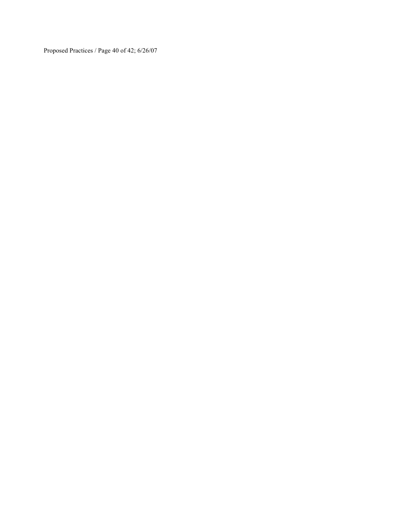Proposed Practices / Page 40 of 42; 6/26/07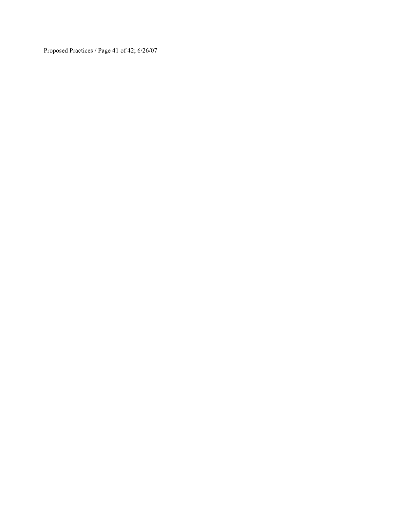Proposed Practices / Page 41 of 42; 6/26/07